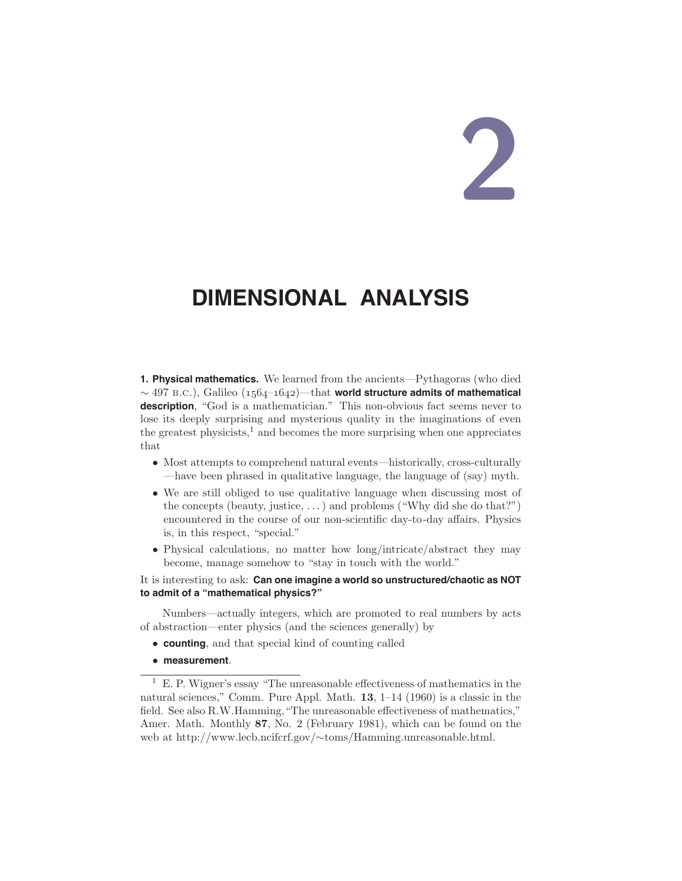# **2**

# **DIMENSIONAL ANALYSIS**

**1. Physical mathematics.** We learned from the ancients—Pythagoras (who died ∼ 497 b.c.), Galileo (*1564*–*1642*)—that **world structure admits of mathematical description**, "God is a mathematician." This non-obvious fact seems never to lose its deeply surprising and mysterious quality in the imaginations of even the greatest physicists, $\frac{1}{2}$  and becomes the more surprising when one appreciates that

- Most attempts to comprehend natural events—historically, cross-culturally —have been phrased in qualitative language, the language of (say) myth.
- We are still obliged to use qualitative language when discussing most of the concepts (beauty, justice, *...*) and problems ("Why did she do that?") encountered in the course of our non-scientific day-to-day affairs. Physics is, in this respect, "special."
- Physical calculations, no matter how long/intricate/abstract they may become, manage somehow to "stay in touch with the world."

It is interesting to ask: **Can one imagine a world so unstructured/chaotic as NOT to admit of a "mathematical physics?"**

Numbers—actually integers, which are promoted to real numbers by acts of abstraction—enter physics (and the sciences generally) by

- **counting**, and that special kind of counting called
- **measurement**.

 $1 \text{ E. P. Wigner's essay "The unreasonable effectiveness of mathematics in the$ natural sciences," Comm. Pure Appl. Math. **13**, 1–14 (1960) is a classic in the field. See also R.W.Hamming,"The unreasonable effectiveness of mathematics," Amer. Math. Monthly **87**, No. 2 (February 1981), which can be found on the web at http://www.lecb.ncifcrf.gov/∼toms/Hamming.unreasonable.html.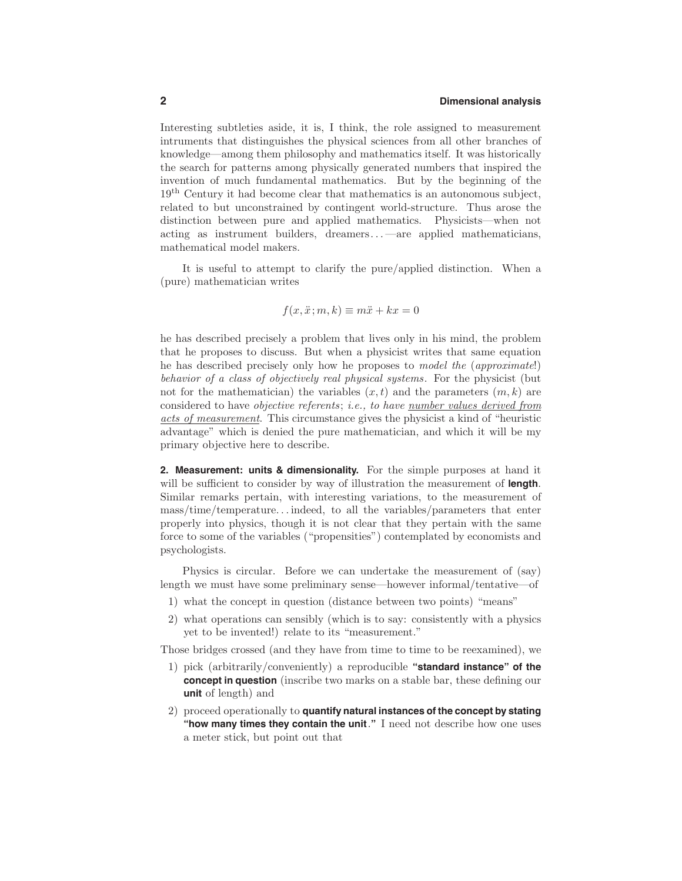Interesting subtleties aside, it is, I think, the role assigned to measurement intruments that distinguishes the physical sciences from all other branches of knowledge—among them philosophy and mathematics itself. It was historically the search for patterns among physically generated numbers that inspired the invention of much fundamental mathematics. But by the beginning of the 19<sup>th</sup> Century it had become clear that mathematics is an autonomous subject, related to but unconstrained by contingent world-structure. Thus arose the distinction between pure and applied mathematics. Physicists—when not acting as instrument builders, dreamers*...*—are applied mathematicians, mathematical model makers.

It is useful to attempt to clarify the pure/applied distinction. When a (pure) mathematician writes

$$
f(x, \ddot{x}; m, k) \equiv m\ddot{x} + kx = 0
$$

he has described precisely a problem that lives only in his mind, the problem that he proposes to discuss. But when a physicist writes that same equation he has described precisely only how he proposes to model the (approximate!) behavior of a class of objectively real physical systems. For the physicist (but not for the mathematician) the variables  $(x, t)$  and the parameters  $(m, k)$  are considered to have objective referents; i.e., to have number values derived from acts of measurement. This circumstance gives the physicist a kind of "heuristic advantage" which is denied the pure mathematician, and which it will be my primary objective here to describe.

**2. Measurement: units & dimensionality.** For the simple purposes at hand it will be sufficient to consider by way of illustration the measurement of **length**. Similar remarks pertain, with interesting variations, to the measurement of mass/time/temperature*...* indeed, to all the variables/parameters that enter properly into physics, though it is not clear that they pertain with the same force to some of the variables ("propensities") contemplated by economists and psychologists.

Physics is circular. Before we can undertake the measurement of  $(say)$ length we must have some preliminary sense—however informal/tentative—of

- 1) what the concept in question (distance between two points) "means"
- 2) what operations can sensibly (which is to say: consistently with a physics yet to be invented!) relate to its "measurement."

Those bridges crossed (and they have from time to time to be reexamined), we

- 1) pick (arbitrarily/conveniently) a reproducible **"standard instance" of the concept in question** (inscribe two marks on a stable bar, these defining our **unit** of length) and
- 2) proceed operationally to **quantify natural instances of the concept by stating "how many times they contain the unit**.**"** I need not describe how one uses a meter stick, but point out that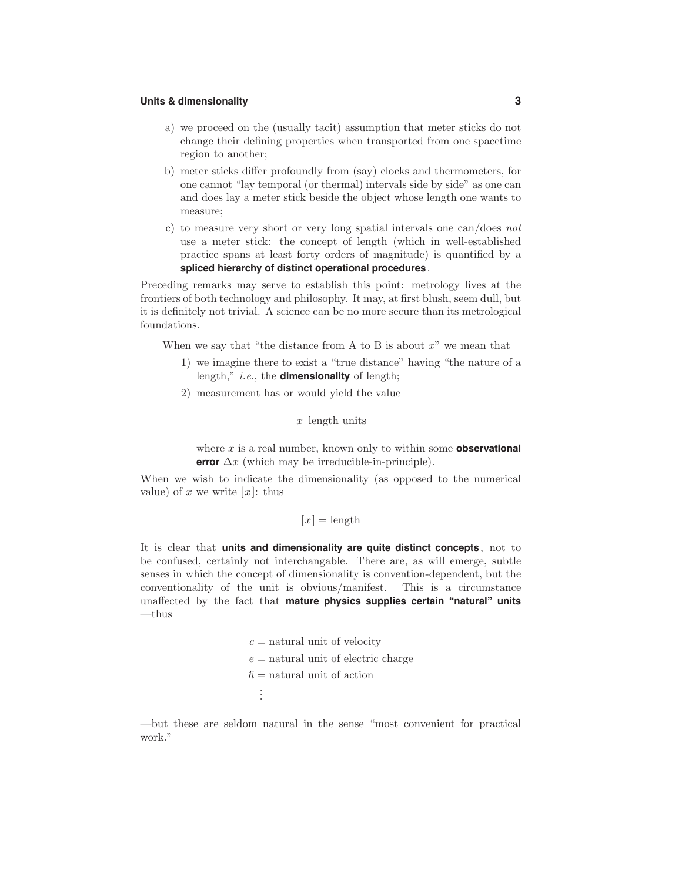# **Units & dimensionality 3**

- a) we proceed on the (usually tacit) assumption that meter sticks do not change their defining properties when transported from one spacetime region to another;
- b) meter sticks differ profoundly from (say) clocks and thermometers, for one cannot "lay temporal (or thermal) intervals side by side" as one can and does lay a meter stick beside the object whose length one wants to measure;
- c) to measure very short or very long spatial intervals one can/does not use a meter stick: the concept of length (which in well-established practice spans at least forty orders of magnitude) is quantified by a **spliced hierarchy of distinct operational procedures**.

Preceding remarks may serve to establish this point: metrology lives at the frontiers of both technology and philosophy. It may, at first blush, seem dull, but it is definitely not trivial. A science can be no more secure than its metrological foundations.

When we say that "the distance from A to B is about *x*" we mean that

- 1) we imagine there to exist a "true distance" having "the nature of a length," i.e., the **dimensionality** of length;
- 2) measurement has or would yield the value

*x* length units

where *x* is a real number, known only to within some **observational error**  $\Delta x$  (which may be irreducible-in-principle).

When we wish to indicate the dimensionality (as opposed to the numerical value) of x we write  $[x]$ : thus

$$
[x] = \text{length}
$$

It is clear that **units and dimensionality are quite distinct concepts**, not to be confused, certainly not interchangable. There are, as will emerge, subtle senses in which the concept of dimensionality is convention-dependent, but the conventionality of the unit is obvious/manifest. This is a circumstance unaffected by the fact that **mature physics supplies certain "natural" units** —thus

> $c =$  natural unit of velocity  $e$  = natural unit of electric charge  $\hbar$  = natural unit of action . . .

—but these are seldom natural in the sense "most convenient for practical work."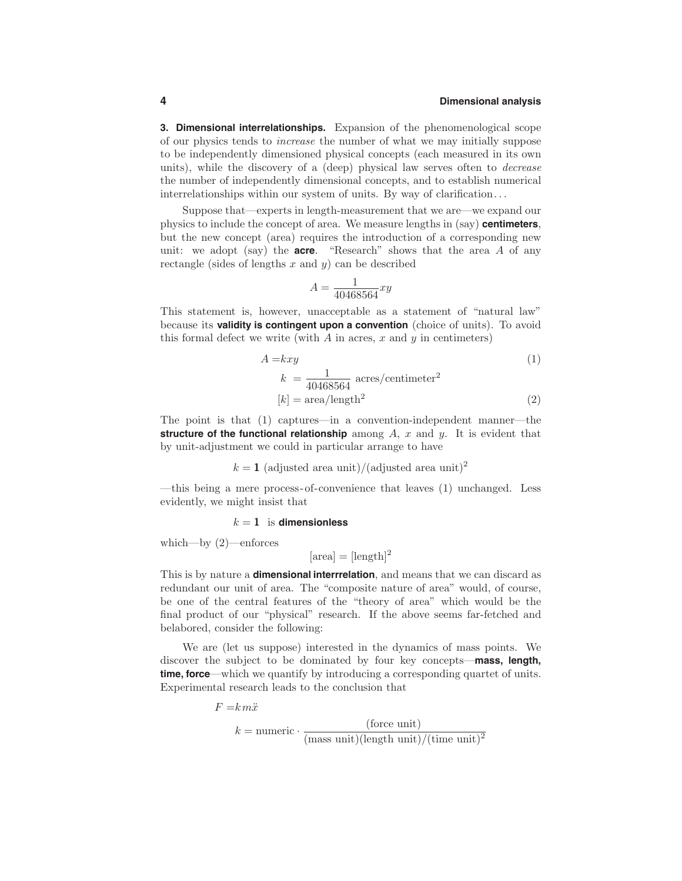**3. Dimensional interrelationships.** Expansion of the phenomenological scope of our physics tends to increase the number of what we may initially suppose to be independently dimensioned physical concepts (each measured in its own units), while the discovery of a (deep) physical law serves often to decrease the number of independently dimensional concepts, and to establish numerical interrelationships within our system of units. By way of clarification*...*

Suppose that—experts in length-measurement that we are—we expand our physics to include the concept of area. We measure lengths in (say) **centimeters**, but the new concept (area) requires the introduction of a corresponding new unit: we adopt (say) the **acre**. "Research" shows that the area *A* of any rectangle (sides of lengths *x* and *y*) can be described

$$
A=\frac{1}{40468564}xy
$$

This statement is, however, unacceptable as a statement of "natural law" because its **validity is contingent upon a convention** (choice of units). To avoid this formal defect we write (with *A* in acres, *x* and *y* in centimeters)

$$
A = kxy
$$
\n
$$
k = \frac{1}{40468564} \text{ acres/centimeter}^2
$$
\n
$$
[k] = \text{area/length}^2
$$
\n(2)

The point is that (1) captures—in a convention-independent manner—the **structure of the functional relationship** among *A*, *x* and *y*. It is evident that by unit-adjustment we could in particular arrange to have

 $k = 1$  (adjusted area unit)/(adjusted area unit)<sup>2</sup>

—this being a mere process-of-convenience that leaves (1) unchanged. Less evidently, we might insist that

 $k = 1$  is **dimensionless** 

which—by (2)—enforces

$$
[\text{area}] = [\text{length}]^2
$$

This is by nature a **dimensional interrrelation**, and means that we can discard as redundant our unit of area. The "composite nature of area" would, of course, be one of the central features of the "theory of area" which would be the final product of our "physical" research. If the above seems far-fetched and belabored, consider the following:

We are (let us suppose) interested in the dynamics of mass points. We discover the subject to be dominated by four key concepts—**mass, length, time, force**—which we quantify by introducing a corresponding quartet of units. Experimental research leads to the conclusion that

 $F = km\ddot{x}$ 

$$
k = \text{numeric} \cdot \frac{\text{(force unit)}}{\text{(mass unit)} (\text{length unit}) / (\text{time unit})^2}
$$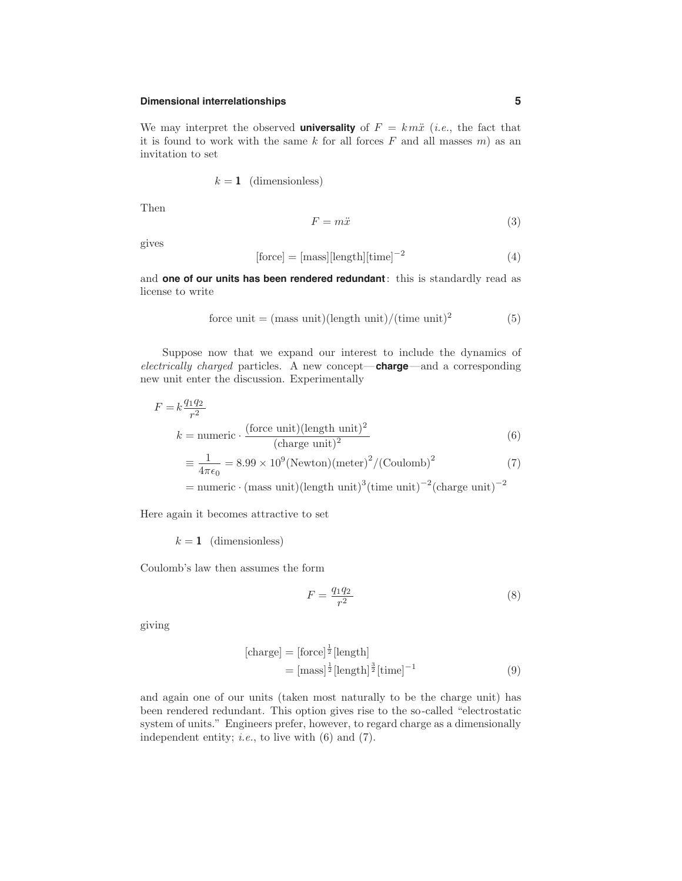# **Dimensional interrelationships 5**

We may interpret the observed **universality** of  $F = km\ddot{x}$  (*i.e.*, the fact that it is found to work with the same  $k$  for all forces  $F$  and all masses  $m$ ) as an invitation to set

$$
k = 1 \quad \text{(dimensionless)}
$$

Then

$$
F = m\ddot{x} \tag{3}
$$

gives

$$
[force] = [mass][length][time]^{-2}
$$
 (4)

and **one of our units has been rendered redundant**: this is standardly read as license to write

force unit = (mass unit)(length unit)/(time unit)<sup>2</sup> 
$$
(5)
$$

Suppose now that we expand our interest to include the dynamics of electrically charged particles. A new concept—**charge**—and a corresponding new unit enter the discussion. Experimentally

$$
F = k \frac{q_1 q_2}{r^2}
$$
  
\n
$$
k = \text{numeric} \cdot \frac{(\text{force unit})(\text{length unit})^2}{(\text{charge unit})^2}
$$
  
\n
$$
\equiv \frac{1}{4\pi\epsilon_0} = 8.99 \times 10^9 \text{(Newton)}(\text{meter})^2 / (\text{Coulomb})^2
$$
  
\n
$$
= \text{numeric} \cdot (\text{mass unit})(\text{length unit})^3 (\text{time unit})^{-2} (\text{charge unit})^{-2}
$$

Here again it becomes attractive to set

 $k = 1$  (dimensionless)

Coulomb's law then assumes the form

$$
F = \frac{q_1 q_2}{r^2} \tag{8}
$$

giving

$$
[\text{charge}] = [\text{force}]^{\frac{1}{2}} [\text{length}]
$$
  
= [mass]^{\frac{1}{2}} [\text{length}]^{\frac{3}{2}} [\text{time}]^{-1} (9)

and again one of our units (taken most naturally to be the charge unit) has been rendered redundant. This option gives rise to the so-called "electrostatic system of units." Engineers prefer, however, to regard charge as a dimensionally independent entity; *i.e.*, to live with  $(6)$  and  $(7)$ .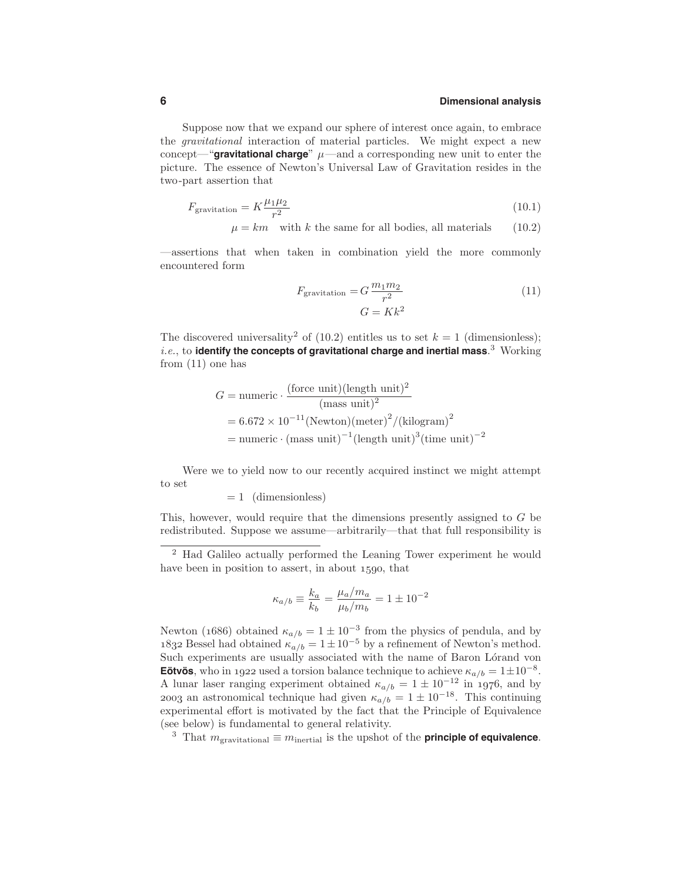Suppose now that we expand our sphere of interest once again, to embrace the gravitational interaction of material particles. We might expect a new concept—"**gravitational charge**"  $\mu$ —and a corresponding new unit to enter the picture. The essence of Newton's Universal Law of Gravitation resides in the two-part assertion that

$$
F_{\text{gravitation}} = K \frac{\mu_1 \mu_2}{r^2} \tag{10.1}
$$

$$
\mu = km \quad \text{with } k \text{ the same for all bodies, all materials} \tag{10.2}
$$

—assertions that when taken in combination yield the more commonly encountered form

$$
F_{\text{gravitation}} = G \frac{m_1 m_2}{r^2} \tag{11}
$$
\n
$$
G = Kk^2
$$

The discovered universality<sup>2</sup> of (10.2) entitles us to set  $k = 1$  (dimensionless);  $i.e.,$  to **identify the concepts of gravitational charge and inertial mass**.<sup>3</sup> Working from (11) one has

$$
G = \text{numeric} \cdot \frac{(\text{force unit})(\text{length unit})^2}{(\text{mass unit})^2}
$$
  
= 6.672 × 10<sup>-11</sup>(Newton)(meter)<sup>2</sup>/(kilogram)<sup>2</sup>  
= numeric · (mass unit)<sup>-1</sup>(length unit)<sup>3</sup>(time unit)<sup>-2</sup>

Were we to yield now to our recently acquired instinct we might attempt to set

$$
= 1 \ \ (\text{dimensionless})
$$

This, however, would require that the dimensions presently assigned to *G* be redistributed. Suppose we assume—arbitrarily—that that full responsibility is

$$
\kappa_{a/b} \equiv \frac{k_a}{k_b} = \frac{\mu_a/m_a}{\mu_b/m_b} = 1 \pm 10^{-2}
$$

Newton (1686) obtained  $\kappa_{a/b} = 1 \pm 10^{-3}$  from the physics of pendula, and by **1832** Bessel had obtained  $\kappa_{a/b} = 1 \pm 10^{-5}$  by a refinement of Newton's method. Such experiments are usually associated with the name of Baron Lórand von **Eötvös**, who in 1922 used a torsion balance technique to achieve  $\kappa_{a/b} = 1 \pm 10^{-8}$ . A lunar laser ranging experiment obtained  $\kappa_{a/b} = 1 \pm 10^{-12}$  in 1976, and by 2003 an astronomical technique had given  $\kappa_{a/b}^2 = 1 \pm 10^{-18}$ . This continuing experimental effort is motivated by the fact that the Principle of Equivalence (see below) is fundamental to general relativity.

<sup>3</sup> That  $m_{gravitational} \equiv m_{inertial}$  is the upshot of the **principle of equivalence**.

<sup>2</sup> Had Galileo actually performed the Leaning Tower experiment he would have been in position to assert, in about *1590*, that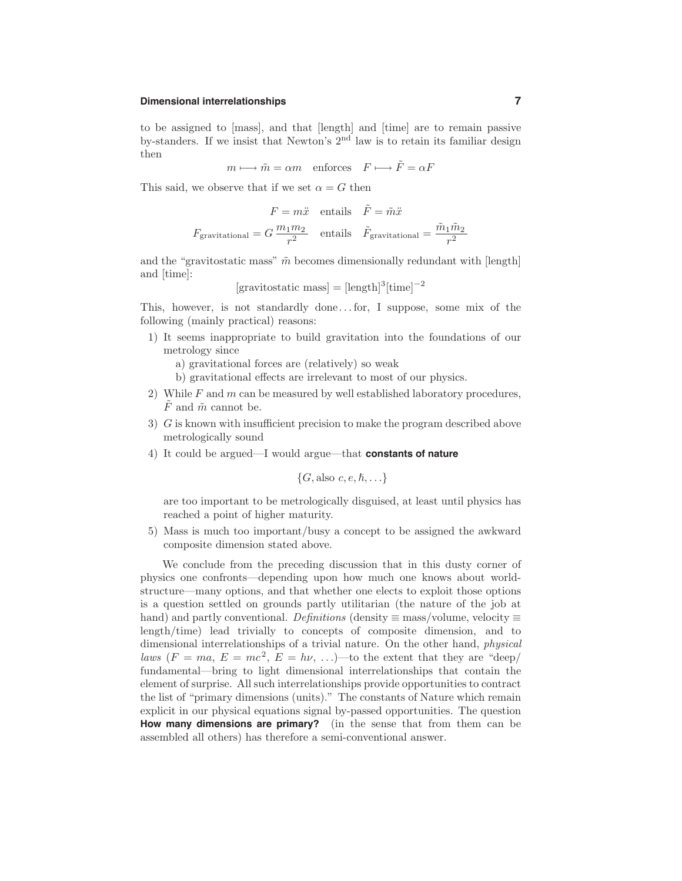# **Dimensional interrelationships 7**

to be assigned to [mass], and that [length] and [time] are to remain passive by-standers. If we insist that Newton's 2<sup>nd</sup> law is to retain its familiar design then

 $m \mapsto \tilde{m} = \alpha m$  enforces  $F \mapsto \tilde{F} = \alpha F$ 

This said, we observe that if we set  $\alpha = G$  then

$$
F = m\ddot{x} \quad \text{entails} \quad \tilde{F} = \tilde{m}\ddot{x}
$$

$$
F_{\text{gravitational}} = G \frac{m_1 m_2}{r^2} \quad \text{entails} \quad \tilde{F}_{\text{gravitational}} = \frac{\tilde{m}_1 \tilde{m}_2}{r^2}
$$

and the "gravitostatic mass"  $\tilde{m}$  becomes dimensionally redundant with [length] and [time]:

$$
[\text{gravitostatic mass}] = [\text{length}]^{3}[\text{time}]^{-2}
$$

This, however, is not standardly done*...* for, I suppose, some mix of the following (mainly practical) reasons:

- 1) It seems inappropriate to build gravitation into the foundations of our metrology since
	- a) gravitational forces are (relatively) so weak
	- b) gravitational effects are irrelevant to most of our physics.
- 2) While *F* and *m* can be measured by well established laboratory procedures,  $\tilde{F}$  and  $\tilde{m}$  cannot be.
- 3) *G* is known with insufficient precision to make the program described above metrologically sound
- 4) It could be argued—I would argue—that **constants of nature**

$$
\{G, \text{also } c, e, \hbar, \ldots\}
$$

are too important to be metrologically disguised, at least until physics has reached a point of higher maturity.

5) Mass is much too important/busy a concept to be assigned the awkward composite dimension stated above.

We conclude from the preceding discussion that in this dusty corner of physics one confronts—depending upon how much one knows about worldstructure—many options, and that whether one elects to exploit those options is a question settled on grounds partly utilitarian (the nature of the job at hand) and partly conventional. Definitions (density  $\equiv$  mass/volume, velocity  $\equiv$ length/time) lead trivially to concepts of composite dimension, and to dimensional interrelationships of a trivial nature. On the other hand, *physical laws*  $(F = ma, E = mc^2, E = hv, ...)$  to the extent that they are "deep/ fundamental—bring to light dimensional interrelationships that contain the element of surprise. All such interrelationships provide opportunities to contract the list of "primary dimensions (units)." The constants of Nature which remain explicit in our physical equations signal by-passed opportunities. The question **How many dimensions are primary?** (in the sense that from them can be assembled all others) has therefore a semi-conventional answer.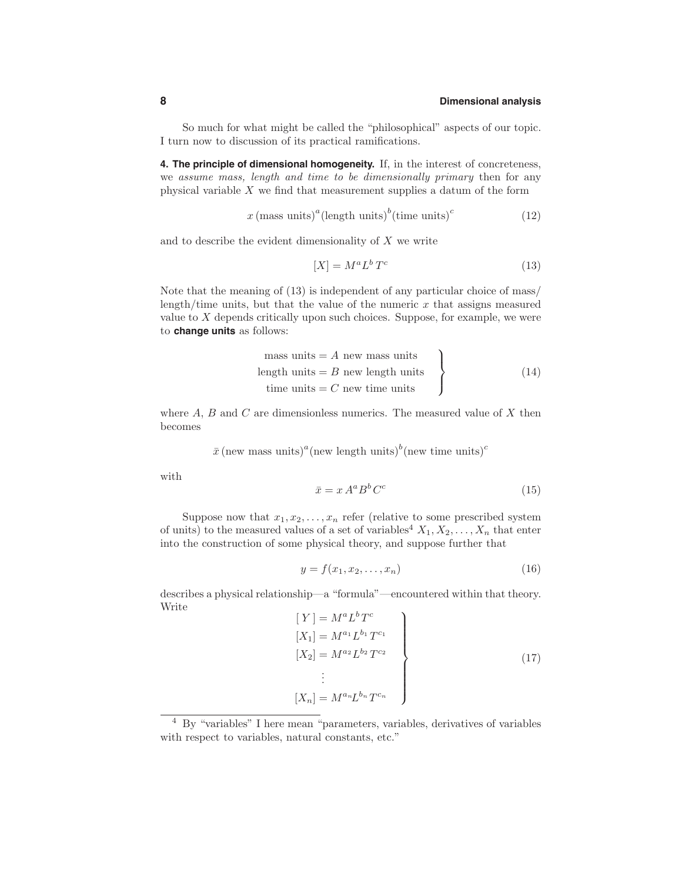So much for what might be called the "philosophical" aspects of our topic. I turn now to discussion of its practical ramifications.

**4. The principle of dimensional homogeneity.** If, in the interest of concreteness, we assume mass, length and time to be dimensionally primary then for any physical variable *X* we find that measurement supplies a datum of the form

$$
x \text{ (mass units)}^a \text{(length units)}^b \text{ (time units)}^c \tag{12}
$$

and to describe the evident dimensionality of *X* we write

$$
[X] = M^a L^b T^c \tag{13}
$$

Note that the meaning of (13) is independent of any particular choice of mass/ length/time units, but that the value of the numeric  $x$  that assigns measured value to *X* depends critically upon such choices. Suppose, for example, we were to **change units** as follows:

mass units = A new mass units  
length units = B new length units  
time units = C new time units\n
$$
\begin{cases}\n(14)\n\end{cases}
$$

where *A*, *B* and *C* are dimensionless numerics. The measured value of *X* then becomes

$$
\bar{x}
$$
 (new mass units)<sup>a</sup> (new length units)<sup>b</sup> (new time units)<sup>c</sup>

with

$$
\bar{x} = x A^a B^b C^c \tag{15}
$$

Suppose now that  $x_1, x_2, \ldots, x_n$  refer (relative to some prescribed system of units) to the measured values of a set of variables<sup>4</sup>  $X_1, X_2, \ldots, X_n$  that enter into the construction of some physical theory, and suppose further that

$$
y = f(x_1, x_2, \dots, x_n) \tag{16}
$$

describes a physical relationship—a "formula"—encountered within that theory. Write [ *Y* ] = *M<sup>a</sup>L<sup>b</sup> T<sup>c</sup>*

$$
\begin{aligned}\n[Y] &= M^a L^b T^c \\
[X_1] &= M^{a_1} L^{b_1} T^{c_1} \\
[X_2] &= M^{a_2} L^{b_2} T^{c_2} \\
&\vdots \\
[X_n] &= M^{a_n} L^{b_n} T^{c_n}\n\end{aligned}\n\tag{17}
$$

<sup>4</sup> By "variables" I here mean "parameters, variables, derivatives of variables with respect to variables, natural constants, etc."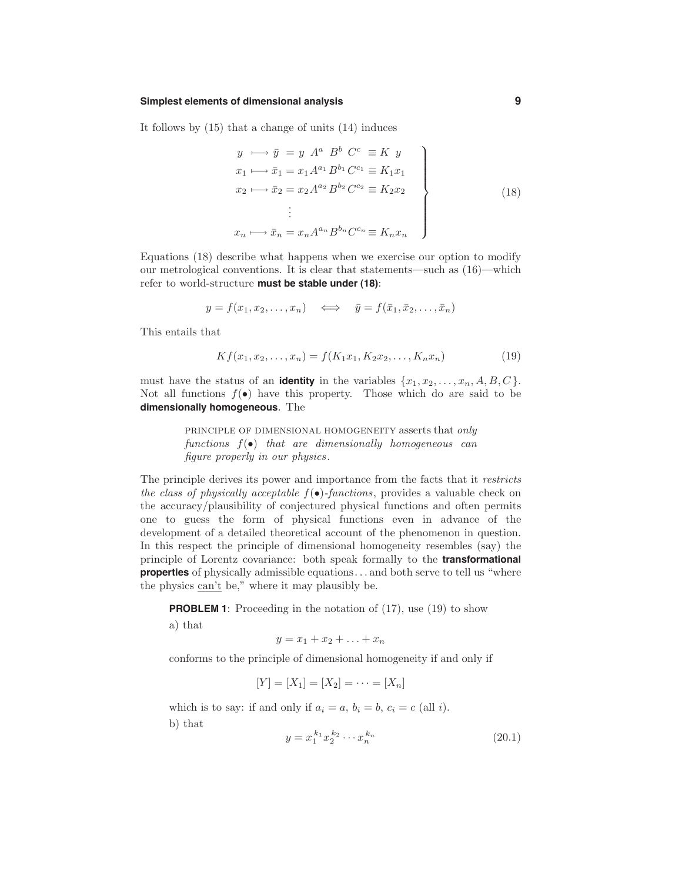# **Simplest elements of dimensional analysis 9**

It follows by (15) that a change of units (14) induces

$$
y \longmapsto \bar{y} = y A^a B^b C^c \equiv K y
$$
  
\n
$$
x_1 \longmapsto \bar{x}_1 = x_1 A^{a_1} B^{b_1} C^{c_1} \equiv K_1 x_1
$$
  
\n
$$
x_2 \longmapsto \bar{x}_2 = x_2 A^{a_2} B^{b_2} C^{c_2} \equiv K_2 x_2
$$
  
\n
$$
\vdots
$$
  
\n
$$
x_n \longmapsto \bar{x}_n = x_n A^{a_n} B^{b_n} C^{c_n} \equiv K_n x_n
$$
\n(18)

Equations (18) describe what happens when we exercise our option to modify our metrological conventions. It is clear that statements—such as (16)—which refer to world-structure **must be stable under (18)**:

$$
y = f(x_1, x_2, \dots, x_n) \iff \bar{y} = f(\bar{x}_1, \bar{x}_2, \dots, \bar{x}_n)
$$

This entails that

$$
Kf(x_1, x_2, \dots, x_n) = f(K_1x_1, K_2x_2, \dots, K_nx_n)
$$
\n(19)

must have the status of an **identity** in the variables  $\{x_1, x_2, \ldots, x_n, A, B, C\}$ . Not all functions  $f(\bullet)$  have this property. Those which do are said to be **dimensionally homogeneous**. The

> PRINCIPLE OF DIMENSIONAL HOMOGENEITY asserts that  $only$ functions *f*(•) that are dimensionally homogeneous can figure properly in our physics.

The principle derives its power and importance from the facts that it restricts the class of physically acceptable  $f(\bullet)$ -functions, provides a valuable check on the accuracy/plausibility of conjectured physical functions and often permits one to guess the form of physical functions even in advance of the development of a detailed theoretical account of the phenomenon in question. In this respect the principle of dimensional homogeneity resembles (say) the principle of Lorentz covariance: both speak formally to the **transformational properties** of physically admissible equations*...* and both serve to tell us "where the physics  $\frac{\text{can't}}{\text{t}}$  be," where it may plausibly be.

**PROBLEM 1**: Proceeding in the notation of (17), use (19) to show

a) that

 $y = x_1 + x_2 + \ldots + x_n$ 

conforms to the principle of dimensional homogeneity if and only if

$$
[Y] = [X_1] = [X_2] = \cdots = [X_n]
$$

which is to say: if and only if  $a_i = a, b_i = b, c_i = c$  (all *i*).

b) that

$$
y = x_1^{k_1} x_2^{k_2} \cdots x_n^{k_n}
$$
 (20.1)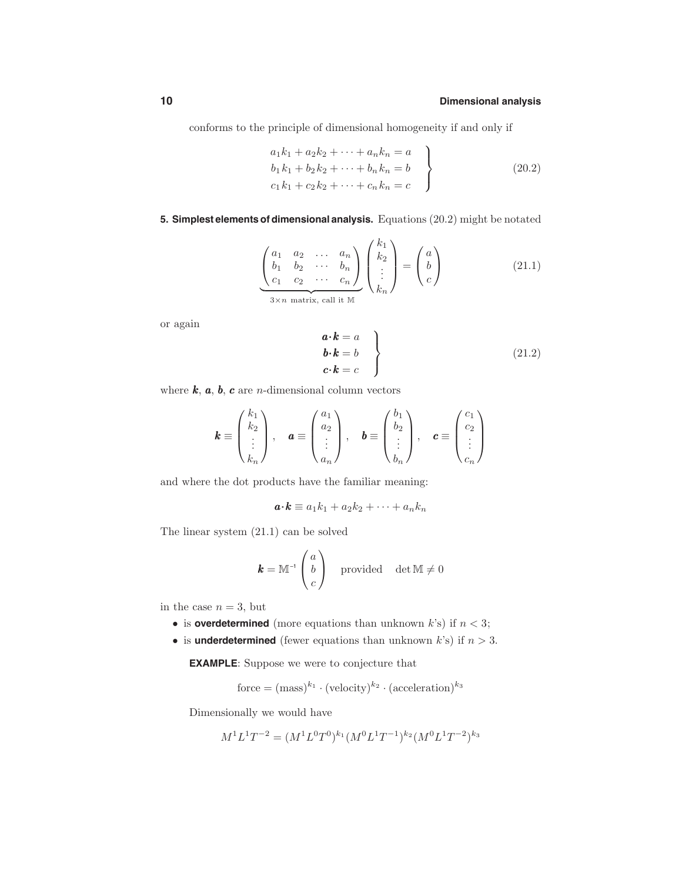conforms to the principle of dimensional homogeneity if and only if

$$
a_1k_1 + a_2k_2 + \dots + a_nk_n = a \n b_1k_1 + b_2k_2 + \dots + b_nk_n = b \n c_1k_1 + c_2k_2 + \dots + c_nk_n = c
$$
\n(20.2)

# **5. Simplest elements of dimensional analysis.** Equations (20.2) might be notated

$$
\underbrace{\begin{pmatrix} a_1 & a_2 & \dots & a_n \\ b_1 & b_2 & \dots & b_n \\ c_1 & c_2 & \dots & c_n \end{pmatrix}}_{3 \times n \text{ matrix, call it M}} \begin{pmatrix} k_1 \\ k_2 \\ \vdots \\ k_n \end{pmatrix} = \begin{pmatrix} a \\ b \\ c \end{pmatrix}
$$
 (21.1)

or again

$$
\begin{aligned}\n\mathbf{a} \cdot \mathbf{k} &= a \\
\mathbf{b} \cdot \mathbf{k} &= b \\
\mathbf{c} \cdot \mathbf{k} &= c\n\end{aligned}
$$
\n(21.2)

where  $k$ ,  $a$ ,  $b$ ,  $c$  are *n*-dimensional column vectors

$$
\boldsymbol{k} \equiv \begin{pmatrix} k_1 \\ k_2 \\ \vdots \\ k_n \end{pmatrix}, \quad \boldsymbol{a} \equiv \begin{pmatrix} a_1 \\ a_2 \\ \vdots \\ a_n \end{pmatrix}, \quad \boldsymbol{b} \equiv \begin{pmatrix} b_1 \\ b_2 \\ \vdots \\ b_n \end{pmatrix}, \quad \boldsymbol{c} \equiv \begin{pmatrix} c_1 \\ c_2 \\ \vdots \\ c_n \end{pmatrix}
$$

and where the dot products have the familiar meaning:

$$
\mathbf{a} \cdot \mathbf{k} \equiv a_1 k_1 + a_2 k_2 + \dots + a_n k_n
$$

The linear system (21.1) can be solved

$$
\boldsymbol{k} = \mathbb{M}^{-1} \begin{pmatrix} a \\ b \\ c \end{pmatrix} \quad \text{provided} \quad \det \mathbb{M} \neq 0
$$

in the case  $n = 3$ , but

- is **overdetermined** (more equations than unknown  $k$ 's) if  $n < 3$ ;
- is **underdetermined** (fewer equations than unknown  $k$ 's) if  $n > 3$ .

**EXAMPLE**: Suppose we were to conjecture that

force = 
$$
(mass)^{k_1} \cdot (velocity)^{k_2} \cdot (acceleration)^{k_3}
$$

Dimensionally we would have

$$
M^{1}L^{1}T^{-2} = (M^{1}L^{0}T^{0})^{k_1}(M^{0}L^{1}T^{-1})^{k_2}(M^{0}L^{1}T^{-2})^{k_3}
$$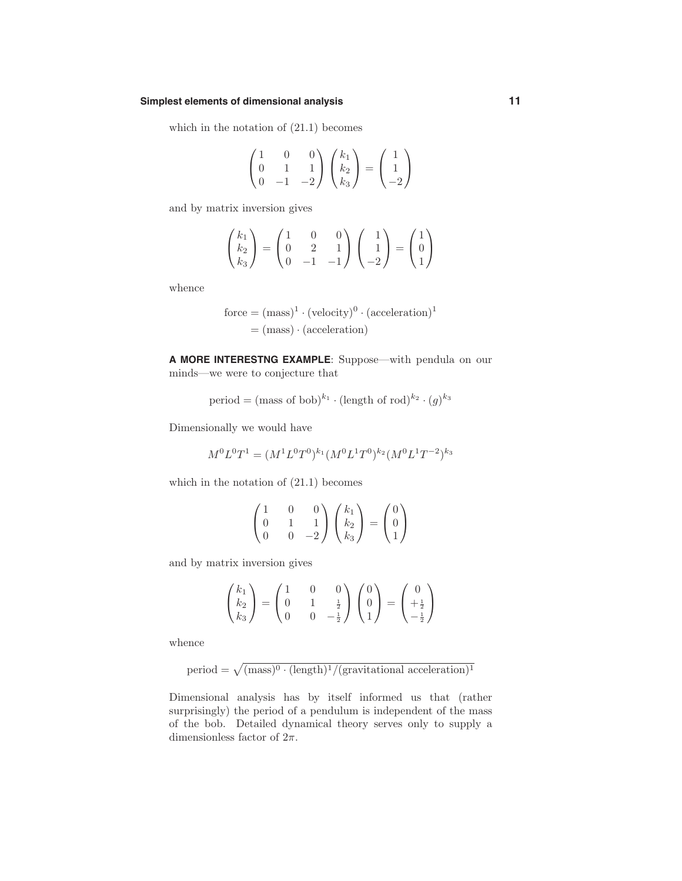# **Simplest elements of dimensional analysis 11**

which in the notation of (21.1) becomes

$$
\begin{pmatrix} 1 & 0 & 0 \\ 0 & 1 & 1 \\ 0 & -1 & -2 \end{pmatrix} \begin{pmatrix} k_1 \\ k_2 \\ k_3 \end{pmatrix} = \begin{pmatrix} 1 \\ 1 \\ -2 \end{pmatrix}
$$

and by matrix inversion gives

$$
\begin{pmatrix} k_1 \\ k_2 \\ k_3 \end{pmatrix} = \begin{pmatrix} 1 & 0 & 0 \\ 0 & 2 & 1 \\ 0 & -1 & -1 \end{pmatrix} \begin{pmatrix} 1 \\ 1 \\ -2 \end{pmatrix} = \begin{pmatrix} 1 \\ 0 \\ 1 \end{pmatrix}
$$

whence

force = 
$$
(mass)^{1} \cdot (velocity)^{0} \cdot (acceleration)^{1}
$$
  
=  $(mass) \cdot (acceleration)$ 

**A MORE INTERESTNG EXAMPLE**: Suppose—with pendula on our minds—we were to conjecture that

period = (mass of bob)<sup>k<sub>1</sub></sup> · (length of rod)<sup>k<sub>2</sub></sup> · 
$$
(g)
$$
<sup>k<sub>3</sub></sup>

Dimensionally we would have

$$
M^{0}L^{0}T^{1} = (M^{1}L^{0}T^{0})^{k_1}(M^{0}L^{1}T^{0})^{k_2}(M^{0}L^{1}T^{-2})^{k_3}
$$

which in the notation of (21.1) becomes

$$
\begin{pmatrix} 1 & 0 & 0 \ 0 & 1 & 1 \ 0 & 0 & -2 \end{pmatrix} \begin{pmatrix} k_1 \ k_2 \ k_3 \end{pmatrix} = \begin{pmatrix} 0 \ 0 \ 1 \end{pmatrix}
$$

and by matrix inversion gives

$$
\begin{pmatrix} k_1 \\ k_2 \\ k_3 \end{pmatrix} = \begin{pmatrix} 1 & 0 & 0 \\ 0 & 1 & \frac{1}{2} \\ 0 & 0 & -\frac{1}{2} \end{pmatrix} \begin{pmatrix} 0 \\ 0 \\ 1 \end{pmatrix} = \begin{pmatrix} 0 \\ +\frac{1}{2} \\ -\frac{1}{2} \end{pmatrix}
$$

whence

$$
period = \sqrt{(\text{mass})^0 \cdot (\text{length})^1 / (\text{gravitational acceleration})^1}
$$

Dimensional analysis has by itself informed us that (rather surprisingly) the period of a pendulum is independent of the mass of the bob. Detailed dynamical theory serves only to supply a dimensionless factor of 2*π*.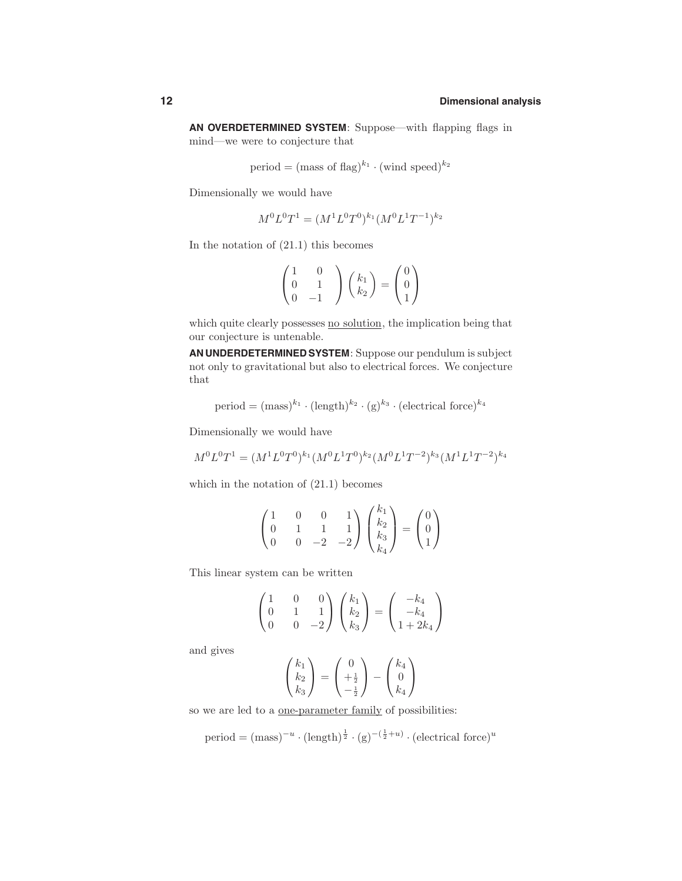**AN OVERDETERMINED SYSTEM**: Suppose—with flapping flags in mind—we were to conjecture that

period =  $(mass of flag)^{k_1} \cdot (wind speed)^{k_2}$ 

Dimensionally we would have

$$
M^0 L^0 T^1 = (M^1 L^0 T^0)^{k_1} (M^0 L^1 T^{-1})^{k_2}
$$

In the notation of (21.1) this becomes

$$
\begin{pmatrix} 1 & 0 \\ 0 & 1 \\ 0 & -1 \end{pmatrix} \begin{pmatrix} k_1 \\ k_2 \end{pmatrix} = \begin{pmatrix} 0 \\ 0 \\ 1 \end{pmatrix}
$$

which quite clearly possesses no solution, the implication being that our conjecture is untenable.

**AN UNDERDETERMINED SYSTEM**: Suppose our pendulum is subject not only to gravitational but also to electrical forces. We conjecture that

period = 
$$
(\text{mass})^{k_1} \cdot (\text{length})^{k_2} \cdot (g)^{k_3} \cdot (\text{electrical force})^{k_4}
$$

Dimensionally we would have

$$
M^0L^0T^1=(M^1L^0T^0)^{k_1}(M^0L^1T^0)^{k_2}(M^0L^1T^{-2})^{k_3}(M^1L^1T^{-2})^{k_4}
$$

which in the notation of (21.1) becomes

$$
\begin{pmatrix} 1 & 0 & 0 & 1 \\ 0 & 1 & 1 & 1 \\ 0 & 0 & -2 & -2 \end{pmatrix} \begin{pmatrix} k_1 \\ k_2 \\ k_3 \\ k_4 \end{pmatrix} = \begin{pmatrix} 0 \\ 0 \\ 1 \end{pmatrix}
$$

This linear system can be written

$$
\begin{pmatrix} 1 & 0 & 0 \ 0 & 1 & 1 \ 0 & 0 & -2 \end{pmatrix} \begin{pmatrix} k_1 \ k_2 \ k_3 \end{pmatrix} = \begin{pmatrix} -k_4 \ -k_4 \ 1 + 2k_4 \end{pmatrix}
$$

and gives

$$
\begin{pmatrix} k_1 \\ k_2 \\ k_3 \end{pmatrix} = \begin{pmatrix} 0 \\ +\frac{1}{2} \\ -\frac{1}{2} \end{pmatrix} - \begin{pmatrix} k_4 \\ 0 \\ k_4 \end{pmatrix}
$$

so we are led to a one-parameter family of possibilities:

period = 
$$
(mass)^{-u} \cdot (length)^{\frac{1}{2}} \cdot (g)^{-(\frac{1}{2}+u)} \cdot (electrical force)^{u}
$$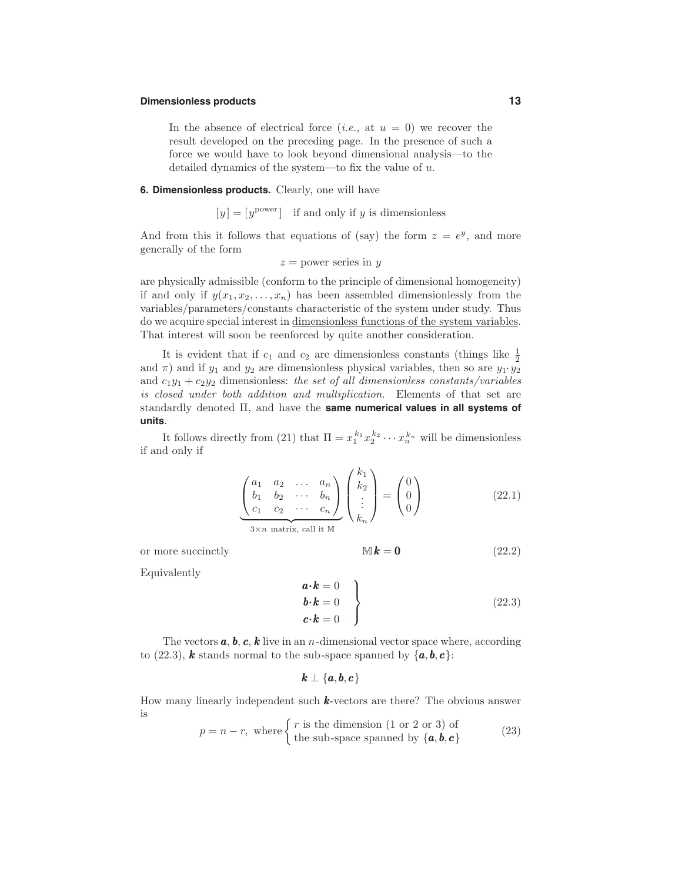# **Dimensionless products 13**

In the absence of electrical force (*i.e.*, at  $u = 0$ ) we recover the result developed on the preceding page. In the presence of such a force we would have to look beyond dimensional analysis—to the detailed dynamics of the system—to fix the value of *u*.

#### **6. Dimensionless products.** Clearly, one will have

 $[y] = [y^{\text{power}}]$  if and only if *y* is dimensionless

And from this it follows that equations of (say) the form  $z = e^y$ , and more generally of the form

$$
z =
$$
power series in y

are physically admissible (conform to the principle of dimensional homogeneity) if and only if  $y(x_1, x_2, \ldots, x_n)$  has been assembled dimensionlessly from the variables/parameters/constants characteristic of the system under study. Thus do we acquire special interest in dimensionless functions of the system variables. That interest will soon be reenforced by quite another consideration.

It is evident that if  $c_1$  and  $c_2$  are dimensionless constants (things like  $\frac{1}{2}$ ) and  $\pi$ ) and if  $y_1$  and  $y_2$  are dimensionless physical variables, then so are  $y_1 \cdot y_2$ and  $c_1y_1 + c_2y_2$  dimensionless: the set of all dimensionless constants/variables is closed under both addition and multiplication. Elements of that set are standardly denoted Π, and have the **same numerical values in all systems of units**.

It follows directly from (21) that  $\Pi = x_1^{k_1} x_2^{k_2} \cdots x_n^{k_n}$  will be dimensionless if and only if

$$
\underbrace{\begin{pmatrix} a_1 & a_2 & \dots & a_n \\ b_1 & b_2 & \cdots & b_n \\ c_1 & c_2 & \cdots & c_n \end{pmatrix}}_{3 \times n \text{ matrix, call it } \mathbb{M}} \begin{pmatrix} k_1 \\ k_2 \\ \vdots \\ k_n \end{pmatrix} = \begin{pmatrix} 0 \\ 0 \\ 0 \end{pmatrix}
$$
 (22.1)

or more succinctly  $M\mathbf{k} = 0$  (22.2)

Equivalently

$$
\begin{aligned}\n\mathbf{a} \cdot \mathbf{k} &= 0 \\
\mathbf{b} \cdot \mathbf{k} &= 0 \\
\mathbf{c} \cdot \mathbf{k} &= 0\n\end{aligned}
$$
\n(22.3)

The vectors  $a, b, c, k$  live in an *n*-dimensional vector space where, according to (22.3), **k** stands normal to the sub-space spanned by  $\{a, b, c\}$ :

$$
\boldsymbol{k} \perp \{ \boldsymbol{a}, \boldsymbol{b}, \boldsymbol{c} \}
$$

How many linearly independent such *k*-vectors are there? The obvious answer is

$$
p = n - r, \text{ where } \begin{cases} r \text{ is the dimension } (1 \text{ or } 2 \text{ or } 3) \text{ of} \\ \text{the sub-space spanned by } \{a, b, c\} \end{cases}
$$
 (23)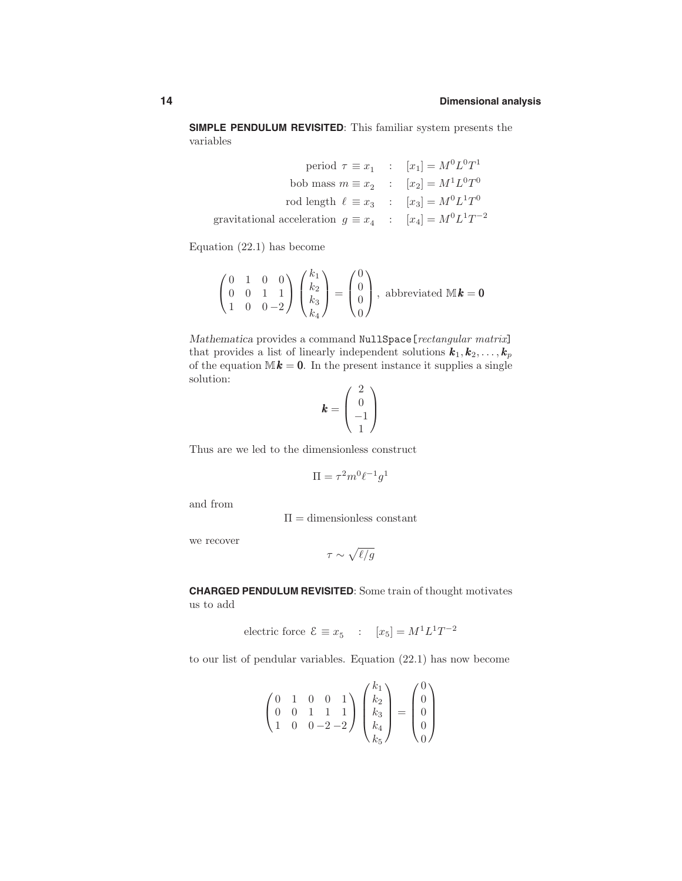**SIMPLE PENDULUM REVISITED**: This familiar system presents the variables

$$
\text{period } \tau \equiv x_1 \quad : \quad [x_1] = M^0 L^0 T^1
$$
\n
$$
\text{bob mass } m \equiv x_2 \quad : \quad [x_2] = M^1 L^0 T^0
$$
\n
$$
\text{rod length } \ell \equiv x_3 \quad : \quad [x_3] = M^0 L^1 T^0
$$
\n
$$
\text{gravitational acceleration } g \equiv x_4 \quad : \quad [x_4] = M^0 L^1 T^{-2}
$$

Equation (22.1) has become

$$
\begin{pmatrix} 0 & 1 & 0 & 0 \\ 0 & 0 & 1 & 1 \\ 1 & 0 & 0 & -2 \end{pmatrix} \begin{pmatrix} k_1 \\ k_2 \\ k_3 \\ k_4 \end{pmatrix} = \begin{pmatrix} 0 \\ 0 \\ 0 \\ 0 \end{pmatrix}, \text{ abbreviated } \mathbb{M}\mathbf{k} = \mathbf{0}
$$

*Mathematica* provides a command NullSpace[rectangular matrix] that provides a list of linearly independent solutions  $\mathbf{k}_1, \mathbf{k}_2, \ldots, \mathbf{k}_p$ of the equation  $\mathbb{M}\mathbf{k} = \mathbf{0}$ . In the present instance it supplies a single solution:

$$
\boldsymbol{k} = \begin{pmatrix} 2 \\ 0 \\ -1 \\ 1 \end{pmatrix}
$$

Thus are we led to the dimensionless construct

$$
\Pi=\tau^2m^0\ell^{-1}g^1
$$

and from

$$
\Pi = \text{dimensionless constant}
$$

we recover

$$
\tau \sim \sqrt{\ell/g}
$$

**CHARGED PENDULUM REVISITED**: Some train of thought motivates us to add

electric force 
$$
\mathcal{E} \equiv x_5
$$
 :  $[x_5] = M^1 L^1 T^{-2}$ 

to our list of pendular variables. Equation (22.1) has now become

$$
\begin{pmatrix} 0 & 1 & 0 & 0 & 1 \\ 0 & 0 & 1 & 1 & 1 \\ 1 & 0 & 0 & -2 & -2 \end{pmatrix} \begin{pmatrix} k_1 \\ k_2 \\ k_3 \\ k_4 \\ k_5 \end{pmatrix} = \begin{pmatrix} 0 \\ 0 \\ 0 \\ 0 \\ 0 \end{pmatrix}
$$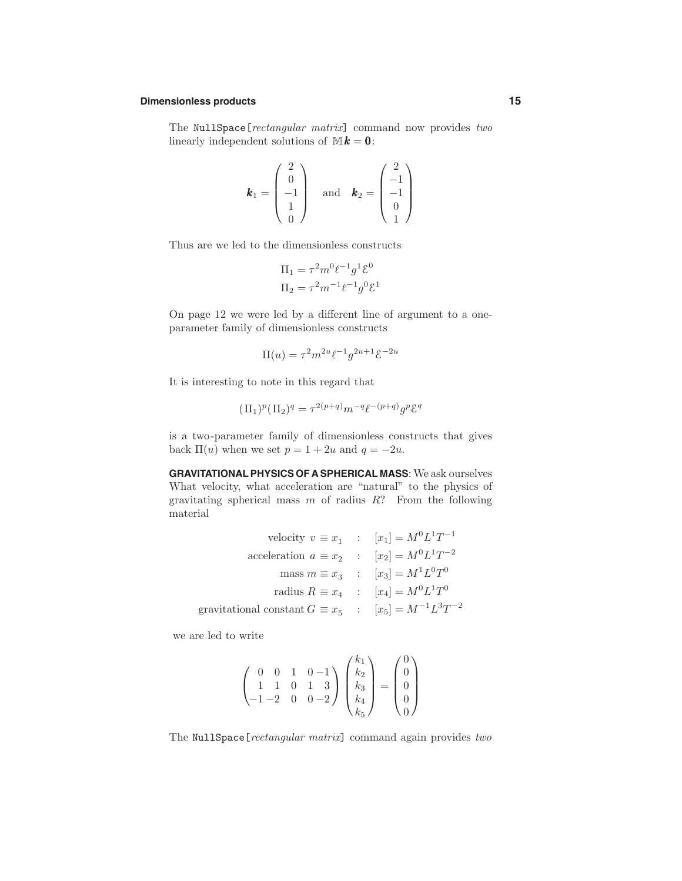# **Dimensionless products 15**

The NullSpace[rectangular matrix] command now provides two linearly independent solutions of  $M\mathbf{k} = 0$ :

$$
\bm{k}_1 = \begin{pmatrix} 2 \\ 0 \\ -1 \\ 1 \\ 0 \end{pmatrix} \text{ and } \bm{k}_2 = \begin{pmatrix} 2 \\ -1 \\ -1 \\ 0 \\ 1 \end{pmatrix}
$$

Thus are we led to the dimensionless constructs

$$
\Pi_1 = \tau^2 m^0 \ell^{-1} g^1 \mathcal{E}^0
$$

$$
\Pi_2 = \tau^2 m^{-1} \ell^{-1} g^0 \mathcal{E}^1
$$

On page 12 we were led by a different line of argument to a oneparameter family of dimensionless constructs

$$
\Pi(u) = \tau^2 m^{2u} \ell^{-1} g^{2u+1} \mathcal{E}^{-2u}
$$

It is interesting to note in this regard that

$$
(\Pi_1)^p (\Pi_2)^q = \tau^{2(p+q)} m^{-q} \ell^{-(p+q)} g^p \mathcal{E}^q
$$

is a two-parameter family of dimensionless constructs that gives back  $\Pi(u)$  when we set  $p = 1 + 2u$  and  $q = -2u$ .

**GRAVITATIONAL PHYSICS OF A SPHERICAL MASS**: We ask ourselves What velocity, what acceleration are "natural" to the physics of gravitating spherical mass *m* of radius *R*? From the following material

velocity 
$$
v \equiv x_1
$$
 :  $[x_1] = M^0 L^1 T^{-1}$   
acceleration  $a \equiv x_2$  :  $[x_2] = M^0 L^1 T^{-2}$   
mass  $m \equiv x_3$  :  $[x_3] = M^1 L^0 T^0$   
radius  $R \equiv x_4$  :  $[x_4] = M^0 L^1 T^0$   
gravitational constant  $G \equiv x_5$  :  $[x_5] = M^{-1} L^3 T^{-2}$ 

we are led to write

$$
\begin{pmatrix} 0 & 0 & 1 & 0 & -1 \\ 1 & 1 & 0 & 1 & 3 \\ -1 & -2 & 0 & 0 & -2 \end{pmatrix} \begin{pmatrix} k_1 \\ k_2 \\ k_3 \\ k_4 \\ k_5 \end{pmatrix} = \begin{pmatrix} 0 \\ 0 \\ 0 \\ 0 \\ 0 \end{pmatrix}
$$

The NullSpace[rectangular matrix] command again provides two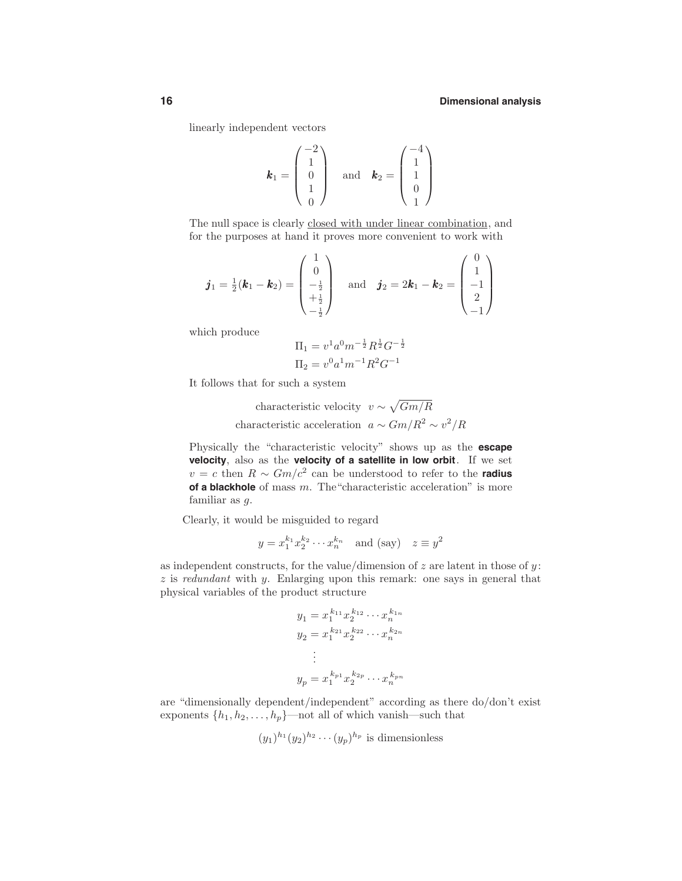linearly independent vectors

$$
\boldsymbol{k}_1 = \begin{pmatrix} -2 \\ 1 \\ 0 \\ 1 \\ 0 \end{pmatrix} \quad \text{and} \quad \boldsymbol{k}_2 = \begin{pmatrix} -4 \\ 1 \\ 1 \\ 0 \\ 1 \end{pmatrix}
$$

The null space is clearly closed with under linear combination, and for the purposes at hand it proves more convenient to work with

$$
\boldsymbol{j}_1 = \frac{1}{2}(\boldsymbol{k}_1 - \boldsymbol{k}_2) = \begin{pmatrix} 1 \\ 0 \\ -\frac{1}{2} \\ -\frac{1}{2} \end{pmatrix} \text{ and } \boldsymbol{j}_2 = 2\boldsymbol{k}_1 - \boldsymbol{k}_2 = \begin{pmatrix} 0 \\ 1 \\ -1 \\ 2 \\ -1 \end{pmatrix}
$$

which produce

$$
\Pi_1 = v^1 a^0 m^{-\frac{1}{2}} R^{\frac{1}{2}} G^{-\frac{1}{2}}
$$

$$
\Pi_2 = v^0 a^1 m^{-1} R^2 G^{-1}
$$

It follows that for such a system

characteristic velocity 
$$
v \sim \sqrt{Gm/R}
$$
  
characteristic acceleration  $a \sim Gm/R^2 \sim v^2/R$ 

Physically the "characteristic velocity" shows up as the **escape velocity**, also as the **velocity of a satellite in low orbit**. If we set *v* = *c* then  $R \sim Gm/c^2$  can be understood to refer to the **radius of a blackhole** of mass *m*. The"characteristic acceleration" is more familiar as *g*.

Clearly, it would be misguided to regard

$$
y = x_1^{k_1} x_2^{k_2} \cdots x_n^{k_n}
$$
 and (say)  $z \equiv y^2$ 

as independent constructs, for the value/dimension of *z* are latent in those of *y* : *z* is redundant with *y*. Enlarging upon this remark: one says in general that physical variables of the product structure

$$
y_1 = x_1^{k_{11}} x_2^{k_{12}} \cdots x_n^{k_{1n}}
$$
  
\n
$$
y_2 = x_1^{k_{21}} x_2^{k_{22}} \cdots x_n^{k_{2n}}
$$
  
\n
$$
\vdots
$$
  
\n
$$
y_p = x_1^{k_{p1}} x_2^{k_{2p}} \cdots x_n^{k_{pn}}
$$

are "dimensionally dependent/independent" according as there do/don't exist exponents  $\{h_1, h_2, \ldots, h_p\}$ —not all of which vanish—such that

$$
(y_1)^{h_1}(y_2)^{h_2}\cdots(y_p)^{h_p}
$$
 is dimensionless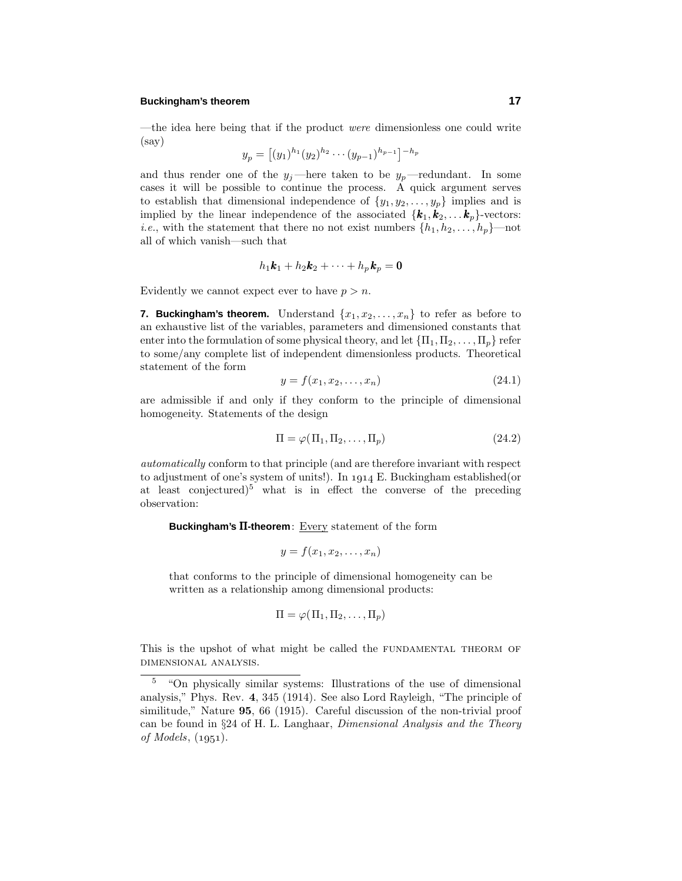#### **Buckingham's theorem 17**

—the idea here being that if the product were dimensionless one could write (say)

$$
y_p = [(y_1)^{h_1} (y_2)^{h_2} \cdots (y_{p-1})^{h_{p-1}}]^{-h_p}
$$

and thus render one of the  $y_j$ —here taken to be  $y_p$ —redundant. In some cases it will be possible to continue the process. A quick argument serves to establish that dimensional independence of  $\{y_1, y_2, \ldots, y_p\}$  implies and is implied by the linear independence of the associated  $\{\mathbf{k}_1, \mathbf{k}_2, \ldots, \mathbf{k}_p\}$ -vectors: *i.e.*, with the statement that there no not exist numbers  $\{h_1, h_2, \ldots, h_p\}$ —not all of which vanish—such that

$$
h_1\mathbf{k}_1+h_2\mathbf{k}_2+\cdots+h_p\mathbf{k}_p=\mathbf{0}
$$

Evidently we cannot expect ever to have  $p > n$ .

**7. Buckingham's theorem.** Understand  $\{x_1, x_2, \ldots, x_n\}$  to refer as before to an exhaustive list of the variables, parameters and dimensioned constants that enter into the formulation of some physical theory, and let  $\{\Pi_1, \Pi_2, \ldots, \Pi_n\}$  refer to some/any complete list of independent dimensionless products. Theoretical statement of the form

$$
y = f(x_1, x_2, \dots, x_n) \tag{24.1}
$$

are admissible if and only if they conform to the principle of dimensional homogeneity. Statements of the design

$$
\Pi = \varphi(\Pi_1, \Pi_2, \dots, \Pi_p) \tag{24.2}
$$

automatically conform to that principle (and are therefore invariant with respect to adjustment of one's system of units!). In  $1914$  E. Buckingham established(or at least conjectured)<sup>5</sup> what is in effect the converse of the preceding observation:

**Buckingham's** Π**-theorem**: Every statement of the form

$$
y = f(x_1, x_2, \dots, x_n)
$$

that conforms to the principle of dimensional homogeneity can be written as a relationship among dimensional products:

$$
\Pi = \varphi(\Pi_1, \Pi_2, \dots, \Pi_p)
$$

This is the upshot of what might be called the FUNDAMENTAL THEORM OF dimensional analysis.

<sup>5</sup> "On physically similar systems: Illustrations of the use of dimensional analysis," Phys. Rev. **4**, 345 (1914). See also Lord Rayleigh, "The principle of similitude," Nature **95**, 66 (1915). Careful discussion of the non-trivial proof can be found in  $\S 24$  of H. L. Langhaar, *Dimensional Analysis and the Theory* of Models,  $(1951)$ .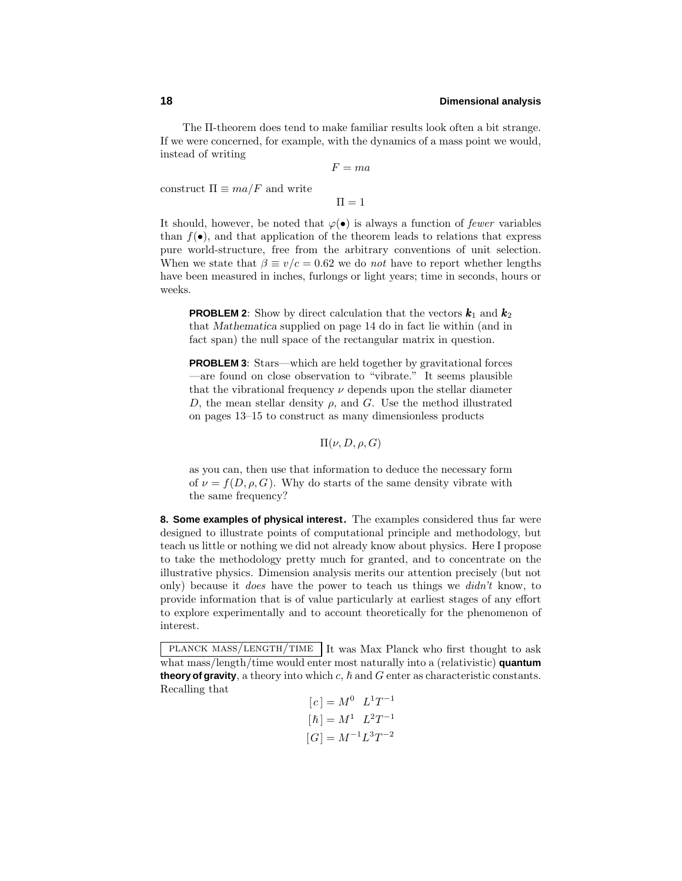The Π-theorem does tend to make familiar results look often a bit strange. If we were concerned, for example, with the dynamics of a mass point we would, instead of writing

$$
F=ma
$$

construct  $\Pi \equiv ma/F$  and write

 $\Pi=1$ 

It should, however, be noted that  $\varphi(\bullet)$  is always a function of *fewer* variables than  $f(\bullet)$ , and that application of the theorem leads to relations that express pure world-structure, free from the arbitrary conventions of unit selection. When we state that  $\beta \equiv v/c = 0.62$  we do *not* have to report whether lengths have been measured in inches, furlongs or light years; time in seconds, hours or weeks.

**PROBLEM 2**: Show by direct calculation that the vectors  $\mathbf{k}_1$  and  $\mathbf{k}_2$ that *Mathematica* supplied on page 14 do in fact lie within (and in fact span) the null space of the rectangular matrix in question.

**PROBLEM 3:** Stars—which are held together by gravitational forces —are found on close observation to "vibrate." It seems plausible that the vibrational frequency  $\nu$  depends upon the stellar diameter *D*, the mean stellar density  $ρ$ , and *G*. Use the method illustrated on pages 13–15 to construct as many dimensionless products

$$
\Pi(\nu, D, \rho, G)
$$

as you can, then use that information to deduce the necessary form of  $\nu = f(D, \rho, G)$ . Why do starts of the same density vibrate with the same frequency?

**8. Some examples of physical interest.** The examples considered thus far were designed to illustrate points of computational principle and methodology, but teach us little or nothing we did not already know about physics. Here I propose to take the methodology pretty much for granted, and to concentrate on the illustrative physics. Dimension analysis merits our attention precisely (but not only) because it *does* have the power to teach us things we *didn't* know, to provide information that is of value particularly at earliest stages of any effort to explore experimentally and to account theoretically for the phenomenon of interest.

planck mass/length/time It was Max Planck who first thought to ask what mass/length/time would enter most naturally into a (relativistic) **quantum theory of gravity**, a theory into which  $c$ ,  $\hbar$  and  $G$  enter as characteristic constants. Recalling that

$$
[c] = M^{0} L^{1}T^{-1}
$$

$$
[\hbar] = M^{1} L^{2}T^{-1}
$$

$$
[G] = M^{-1}L^{3}T^{-2}
$$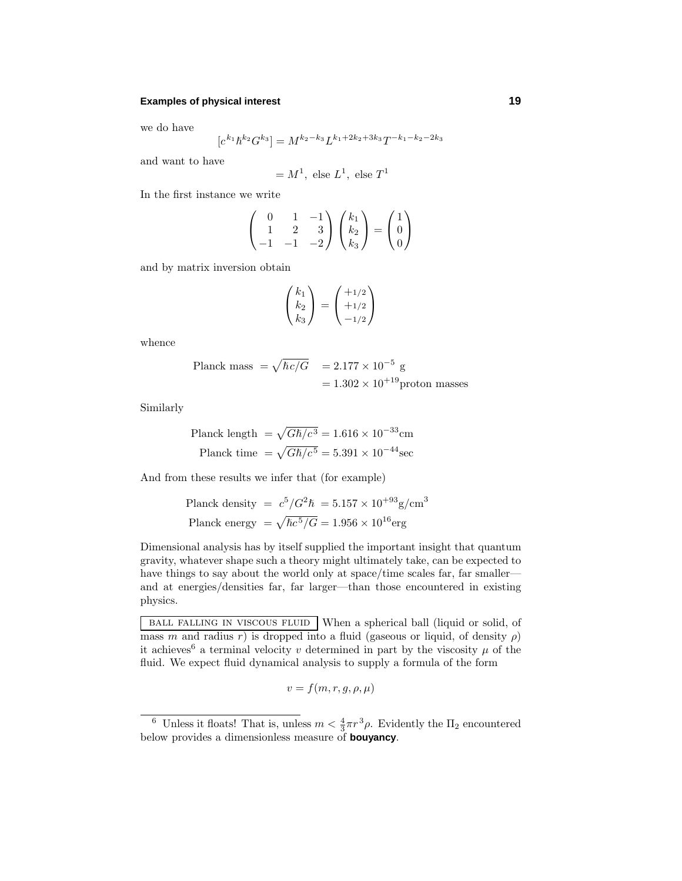# **Examples of physical interest 19**

we do have

$$
[c^{k_1} \hbar^{k_2} G^{k_3}] = M^{k_2 - k_3} L^{k_1 + 2k_2 + 3k_3} T^{-k_1 - k_2 - 2k_3}
$$

and want to have

$$
= M^1, \text{ else } L^1, \text{ else } T^1
$$

In the first instance we write

$$
\begin{pmatrix} 0 & 1 & -1 \ 1 & 2 & 3 \ -1 & -1 & -2 \ \end{pmatrix} \begin{pmatrix} k_1 \ k_2 \ k_3 \end{pmatrix} = \begin{pmatrix} 1 \ 0 \ 0 \end{pmatrix}
$$

and by matrix inversion obtain

$$
\begin{pmatrix} k_1 \\ k_2 \\ k_3 \end{pmatrix} = \begin{pmatrix} +1/2 \\ +1/2 \\ -1/2 \end{pmatrix}
$$

whence

Planck mass = 
$$
\sqrt{\hbar c/G}
$$
 = 2.177 × 10<sup>-5</sup> g  
= 1.302 × 10<sup>+19</sup> proton masses

Similarly

Planck length = 
$$
\sqrt{G\hbar/c^3}
$$
 = 1.616 × 10<sup>-33</sup>cm  
Planck time =  $\sqrt{G\hbar/c^5}$  = 5.391 × 10<sup>-44</sup>sec

And from these results we infer that (for example)

Planck density = 
$$
c^5/G^2\hbar = 5.157 \times 10^{+93} \text{g/cm}^3
$$
  
Planck energy =  $\sqrt{\hbar c^5/G} = 1.956 \times 10^{16} \text{erg}$ 

Dimensional analysis has by itself supplied the important insight that quantum gravity, whatever shape such a theory might ultimately take, can be expected to have things to say about the world only at space/time scales far, far smallerand at energies/densities far, far larger—than those encountered in existing physics.

ball falling in viscous fluid When a spherical ball (liquid or solid, of mass *m* and radius *r*) is dropped into a fluid (gaseous or liquid, of density  $\rho$ ) it achieves<sup>6</sup> a terminal velocity *v* determined in part by the viscosity  $\mu$  of the fluid. We expect fluid dynamical analysis to supply a formula of the form

$$
v = f(m, r, g, \rho, \mu)
$$

<sup>&</sup>lt;sup>6</sup> Unless it floats! That is, unless  $m < \frac{4}{3}\pi r^3 \rho$ . Evidently the  $\Pi_2$  encountered below provides a dimensionless measure of **bouyancy**.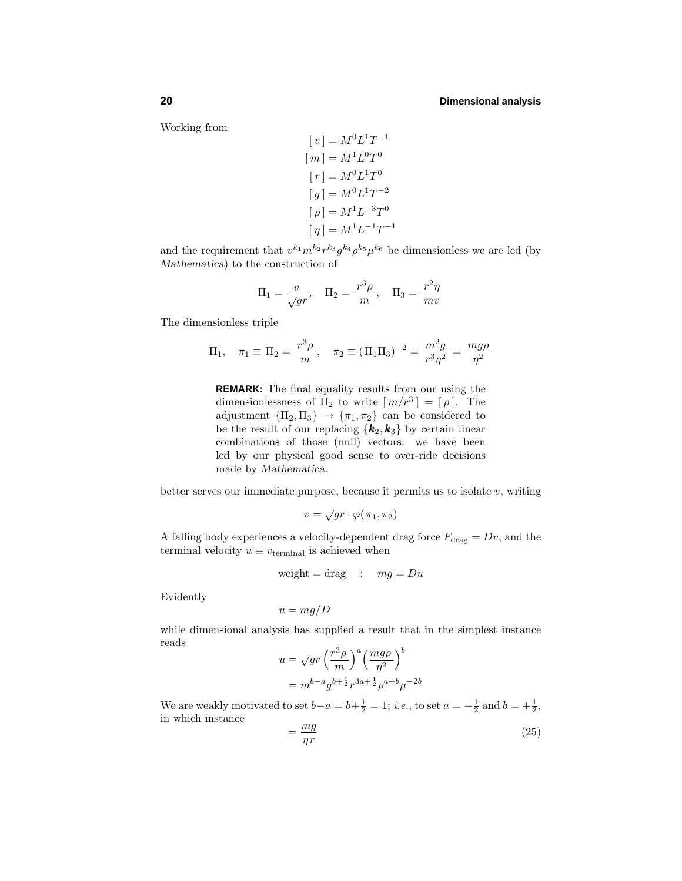Working from

$$
[v] = M^0 L^1 T^{-1}
$$
  
\n
$$
[m] = M^1 L^0 T^0
$$
  
\n
$$
[r] = M^0 L^1 T^0
$$
  
\n
$$
[g] = M^0 L^1 T^{-2}
$$
  
\n
$$
[\rho] = M^1 L^{-3} T^0
$$
  
\n
$$
[\eta] = M^1 L^{-1} T^{-1}
$$

and the requirement that  $v^{k_1} m^{k_2} r^{k_3} g^{k_4} \rho^{k_5} \mu^{k_6}$  be dimensionless we are led (by *Mathematica*) to the construction of

$$
\Pi_1 = \frac{v}{\sqrt{gr}}, \quad \Pi_2 = \frac{r^3 \rho}{m}, \quad \Pi_3 = \frac{r^2 \eta}{mv}
$$

The dimensionless triple

$$
\Pi_1, \quad \pi_1 \equiv \Pi_2 = \frac{r^3 \rho}{m}, \quad \pi_2 \equiv (\Pi_1 \Pi_3)^{-2} = \frac{m^2 g}{r^3 \eta^2} = \frac{mg\rho}{\eta^2}
$$

**REMARK:** The final equality results from our using the dimensionlessness of  $\Pi_2$  to write  $[m/r^3] = [\rho]$ . The adjustment  ${\{\Pi_2, \Pi_3\}} \rightarrow {\{\pi_1, \pi_2\}}$  can be considered to be the result of our replacing  $\{k_2, k_3\}$  by certain linear combinations of those (null) vectors: we have been led by our physical good sense to over-ride decisions made by *Mathematica*.

better serves our immediate purpose, because it permits us to isolate *v*, writing

$$
v = \sqrt{gr} \cdot \varphi(\pi_1, \pi_2)
$$

A falling body experiences a velocity-dependent drag force  $F_{drag} = Dv$ , and the terminal velocity  $u \equiv v_{\text{terminal}}$  is achieved when

$$
weight = drag : mg = Du
$$

Evidently

$$
u = mg/D
$$

while dimensional analysis has supplied a result that in the simplest instance reads

$$
\begin{split} u&=\sqrt{gr}\left(\frac{r^3\rho}{m}\right)^a\left(\frac{mg\rho}{\eta^2}\right)^b\\ &=m^{b-a}g^{b+\frac{1}{2}}r^{3a+\frac{1}{2}}\rho^{a+b}\mu^{-2b} \end{split}
$$

We are weakly motivated to set  $b-a = b+\frac{1}{2} = 1$ ; *i.e.*, to set  $a = -\frac{1}{2}$  and  $b = +\frac{1}{2}$ , in which instance

$$
=\frac{mg}{\eta r}\tag{25}
$$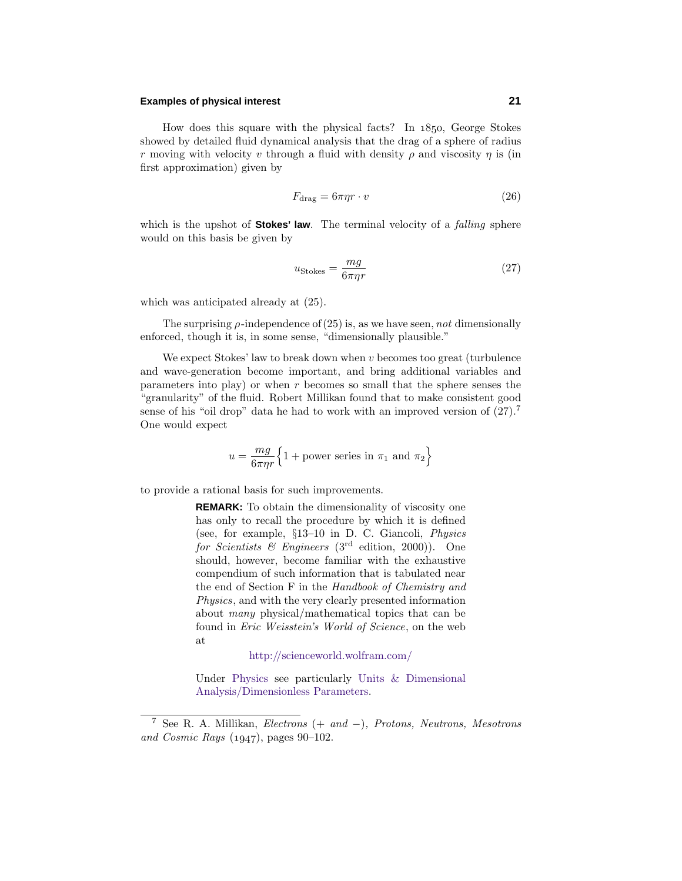# **Examples of physical interest 21**

How does this square with the physical facts? In  $1850$ , George Stokes showed by detailed fluid dynamical analysis that the drag of a sphere of radius *r* moving with velocity *v* through a fluid with density  $\rho$  and viscosity  $\eta$  is (in first approximation) given by

$$
F_{\text{drag}} = 6\pi\eta r \cdot v \tag{26}
$$

which is the upshot of **Stokes' law**. The terminal velocity of a falling sphere would on this basis be given by

$$
u_{\text{Stokes}} = \frac{mg}{6\pi\eta r} \tag{27}
$$

which was anticipated already at (25).

The surprising  $\rho$ -independence of (25) is, as we have seen, not dimensionally enforced, though it is, in some sense, "dimensionally plausible."

We expect Stokes' law to break down when *v* becomes too great (turbulence and wave-generation become important, and bring additional variables and parameters into play) or when *r* becomes so small that the sphere senses the "granularity" of the fluid. Robert Millikan found that to make consistent good sense of his "oil drop" data he had to work with an improved version of  $(27)^{7}$ . One would expect

$$
u = \frac{mg}{6\pi\eta r} \Big\{ 1 + \text{power series in } \pi_1 \text{ and } \pi_2 \Big\}
$$

to provide a rational basis for such improvements.

**REMARK:** To obtain the dimensionality of viscosity one has only to recall the procedure by which it is defined (see, for example, §13–10 in D. C. Giancoli, Physics for Scientists & Engineers  $(3<sup>rd</sup>$  edition, 2000)). One should, however, become familiar with the exhaustive compendium of such information that is tabulated near the end of Section F in the Handbook of Chemistry and Physics, and with the very clearly presented information about many physical/mathematical topics that can be found in Eric Weisstein's World of Science, on the web at

http://scienceworld.wolfram.com/

Under Physics see particularly Units & Dimensional Analysis/Dimensionless Parameters.

<sup>7</sup> See R. A. Millikan, Electrons (+ and −), Protons, Neutrons, Mesotrons and Cosmic Rays  $(1947)$ , pages 90–102.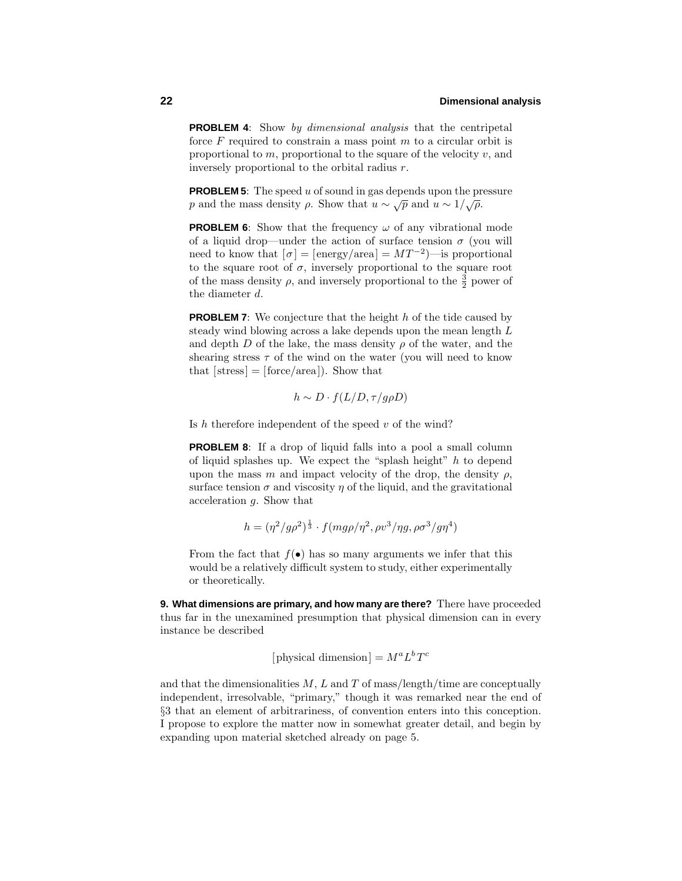**PROBLEM 4**: Show by dimensional analysis that the centripetal force *F* required to constrain a mass point *m* to a circular orbit is proportional to *m*, proportional to the square of the velocity *v*, and inversely proportional to the orbital radius *r*.

**PROBLEM 5:** The speed *u* of sound in gas depends upon the pressure *p* and the mass density  $\rho$ . Show that  $u \sim \sqrt{p}$  and  $u \sim 1/\sqrt{\rho}$ .

**PROBLEM 6:** Show that the frequency  $\omega$  of any vibrational mode of a liquid drop—under the action of surface tension  $\sigma$  (you will need to know that  $[\sigma] = [\text{energy/area}] = MT^{-2}$ )—is proportional to the square root of  $\sigma$ , inversely proportional to the square root of the mass density  $\rho$ , and inversely proportional to the  $\frac{3}{2}$  power of the diameter *d*.

**PROBLEM 7:** We conjecture that the height *h* of the tide caused by steady wind blowing across a lake depends upon the mean length *L* and depth *D* of the lake, the mass density  $\rho$  of the water, and the shearing stress  $\tau$  of the wind on the water (you will need to know that  $[stress] = [force/area]$ . Show that

$$
h \sim D \cdot f(L/D, \tau / g \rho D)
$$

Is *h* therefore independent of the speed *v* of the wind?

**PROBLEM 8**: If a drop of liquid falls into a pool a small column of liquid splashes up. We expect the "splash height" *h* to depend upon the mass *m* and impact velocity of the drop, the density  $\rho$ , surface tension  $\sigma$  and viscosity  $\eta$  of the liquid, and the gravitational acceleration *g*. Show that

$$
h = (\eta^2 / g\rho^2)^{\frac{1}{3}} \cdot f(mg\rho/\eta^2, \rho v^3 / \eta g, \rho \sigma^3 / g\eta^4)
$$

From the fact that  $f(\bullet)$  has so many arguments we infer that this would be a relatively difficult system to study, either experimentally or theoretically.

**9. What dimensions are primary, and how many are there?** There have proceeded thus far in the unexamined presumption that physical dimension can in every instance be described

 $[$ physical dimension $] = M^a L^b T^c$ 

and that the dimensionalities *M*, *L* and *T* of mass/length/time are conceptually independent, irresolvable, "primary," though it was remarked near the end of §3 that an element of arbitrariness, of convention enters into this conception. I propose to explore the matter now in somewhat greater detail, and begin by expanding upon material sketched already on page 5.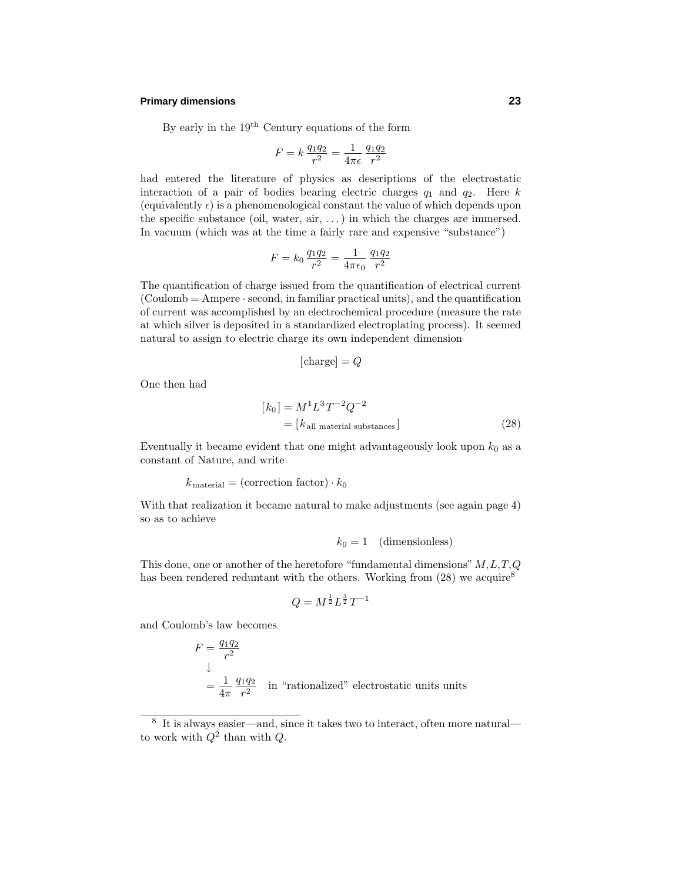# **Primary dimensions 23**

By early in the  $19<sup>th</sup>$  Century equations of the form

$$
F = k \frac{q_1 q_2}{r^2} = \frac{1}{4\pi\epsilon} \frac{q_1 q_2}{r^2}
$$

had entered the literature of physics as descriptions of the electrostatic interaction of a pair of bodies bearing electric charges  $q_1$  and  $q_2$ . Here  $k$ (equivalently  $\epsilon$ ) is a phenomenological constant the value of which depends upon the specific substance (oil, water, air, *...*) in which the charges are immersed. In vacuum (which was at the time a fairly rare and expensive "substance")

$$
F = k_0 \frac{q_1 q_2}{r^2} = \frac{1}{4\pi\epsilon_0} \frac{q_1 q_2}{r^2}
$$

The quantification of charge issued from the quantification of electrical current  $(Coulomb = Ampere \cdot second, in familiar practical units)$ , and the quantification of current was accomplished by an electrochemical procedure (measure the rate at which silver is deposited in a standardized electroplating process). It seemed natural to assign to electric charge its own independent dimension

$$
[\text{charge}] = Q
$$

One then had

$$
[k_0] = M^1 L^3 T^{-2} Q^{-2}
$$
  
= 
$$
[k_{\text{all material substances}}]
$$
 (28)

Eventually it became evident that one might advantageously look upon  $k_0$  as a constant of Nature, and write

$$
k_{\text{material}} = (\text{correction factor}) \cdot k_0
$$

With that realization it became natural to make adjustments (see again page 4) so as to achieve

$$
k_0 = 1 \quad \text{(dimensionless)}
$$

This done, one or another of the heretofore "fundamental dimensions"*M,L,T,Q* has been rendered reduntant with the others. Working from  $(28)$  we acquire<sup>8</sup>

$$
Q = M^{\frac{1}{2}} L^{\frac{3}{2}} T^{-1}
$$

and Coulomb's law becomes

$$
F = \frac{q_1 q_2}{r^2}
$$
  
\n
$$
\downarrow
$$
  
\n
$$
= \frac{1}{4\pi} \frac{q_1 q_2}{r^2}
$$
 in "rationalized" electrostatic units units

<sup>8</sup> It is always easier—and, since it takes two to interact, often more natural to work with *Q*<sup>2</sup> than with *Q*.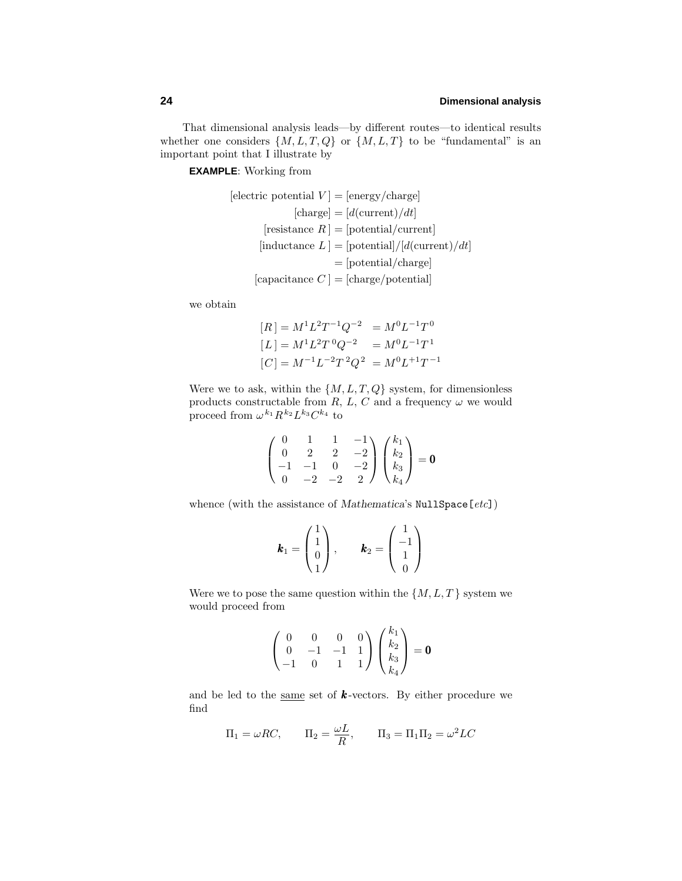That dimensional analysis leads—by different routes—to identical results whether one considers  $\{M, L, T, Q\}$  or  $\{M, L, T\}$  to be "fundamental" is an important point that I illustrate by

**EXAMPLE**: Working from

$$
[electric potential V] = [energy/charge]
$$
\n
$$
[charge] = [d(\text{current})/dt]
$$
\n
$$
[resistance R] = [potential/current]
$$
\n
$$
[inductance L] = [potential/(d(\text{current})/dt)]
$$
\n
$$
= [potential/charge]
$$
\n
$$
[capacitance C] = [charge/potential]
$$

we obtain

$$
[R] = M^{1}L^{2}T^{-1}Q^{-2} = M^{0}L^{-1}T^{0}
$$

$$
[L] = M^{1}L^{2}T^{0}Q^{-2} = M^{0}L^{-1}T^{1}
$$

$$
[C] = M^{-1}L^{-2}T^{2}Q^{2} = M^{0}L^{+1}T^{-1}
$$

Were we to ask, within the  $\{M, L, T, Q\}$  system, for dimensionless products constructable from  $R$ ,  $L$ ,  $C$  and a frequency  $\omega$  we would proceed from  $\omega^{k_1} R^{k_2} L^{k_3} C^{k_4}$  to

$$
\begin{pmatrix} 0 & 1 & 1 & -1 \ 0 & 2 & 2 & -2 \ -1 & -1 & 0 & -2 \ 0 & -2 & -2 & 2 \ \end{pmatrix} \begin{pmatrix} k_1 \ k_2 \ k_3 \ k_4 \end{pmatrix} = \mathbf{0}
$$

whence (with the assistance of *Mathematica*'s NullSpace[etc])

$$
\boldsymbol{k}_1 = \begin{pmatrix} 1 \\ 1 \\ 0 \\ 1 \end{pmatrix}, \qquad \boldsymbol{k}_2 = \begin{pmatrix} 1 \\ -1 \\ 1 \\ 0 \end{pmatrix}
$$

Were we to pose the same question within the  $\{M, L, T\}$  system we would proceed from

$$
\begin{pmatrix} 0 & 0 & 0 & 0 \ 0 & -1 & -1 & 1 \ -1 & 0 & 1 & 1 \ \end{pmatrix} \begin{pmatrix} k_1 \\ k_2 \\ k_3 \\ k_4 \end{pmatrix} = \mathbf{0}
$$

and be led to the same set of *k* -vectors. By either procedure we find

$$
\Pi_1 = \omega RC
$$
,  $\Pi_2 = \frac{\omega L}{R}$ ,  $\Pi_3 = \Pi_1 \Pi_2 = \omega^2 LC$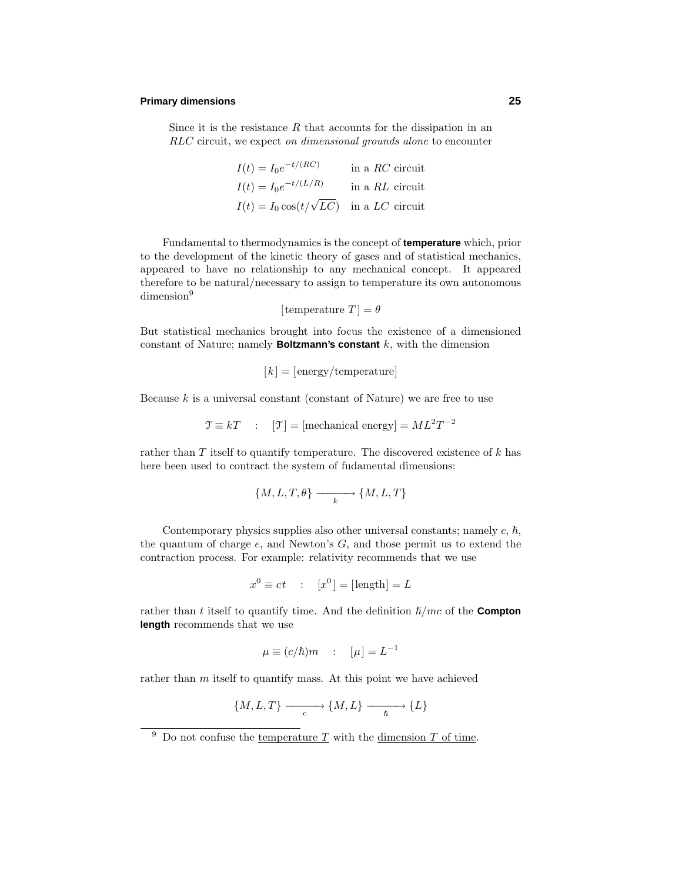# **Primary dimensions 25**

Since it is the resistance *R* that accounts for the dissipation in an *RLC* circuit, we expect on dimensional grounds alone to encounter

| $I(t) = I_0 e^{-t/(RC)}$                       | in a $RC$ circuit |
|------------------------------------------------|-------------------|
| $I(t) = I_0 e^{-t/(L/R)}$                      | in a $RL$ circuit |
| $I(t) = I_0 \cos(t/\sqrt{LC})$ in a LC circuit |                   |

Fundamental to thermodynamics is the concept of **temperature** which, prior to the development of the kinetic theory of gases and of statistical mechanics, appeared to have no relationship to any mechanical concept. It appeared therefore to be natural/necessary to assign to temperature its own autonomous dimension<sup>9</sup>

[temperature 
$$
T
$$
] =  $\theta$ 

But statistical mechanics brought into focus the existence of a dimensioned constant of Nature; namely **Boltzmann's constant** *k*, with the dimension

 $[k] = [energy/temperature]$ 

Because *k* is a universal constant (constant of Nature) we are free to use

$$
\mathfrak{T} \equiv kT
$$
 :  $[\mathfrak{T}] = [\text{mechanical energy}] = ML^2T^{-2}$ 

rather than *T* itself to quantify temperature. The discovered existence of *k* has here been used to contract the system of fudamental dimensions:

$$
\{M, L, T, \theta\} \xrightarrow[k]{}
$$

Contemporary physics supplies also other universal constants; namely  $c, \hbar$ , the quantum of charge *e*, and Newton's *G*, and those permit us to extend the contraction process. For example: relativity recommends that we use

$$
x^0 \equiv ct \quad ; \quad [x^0] = [\text{length}] = L
$$

rather than *t* itself to quantify time. And the definition  $\hbar/mc$  of the **Compton length** recommends that we use

$$
\mu \equiv (c/\hbar)m \quad : \quad [\mu] = L^{-1}
$$

rather than *m* itself to quantify mass. At this point we have achieved

$$
\{M,L,T\} \xrightarrow{\quad \ \ } \{M,L\} \xrightarrow{\quad \ \ } \{L\}
$$

<sup>&</sup>lt;sup>9</sup> Do not confuse the temperature  $T$  with the dimension  $T$  of time.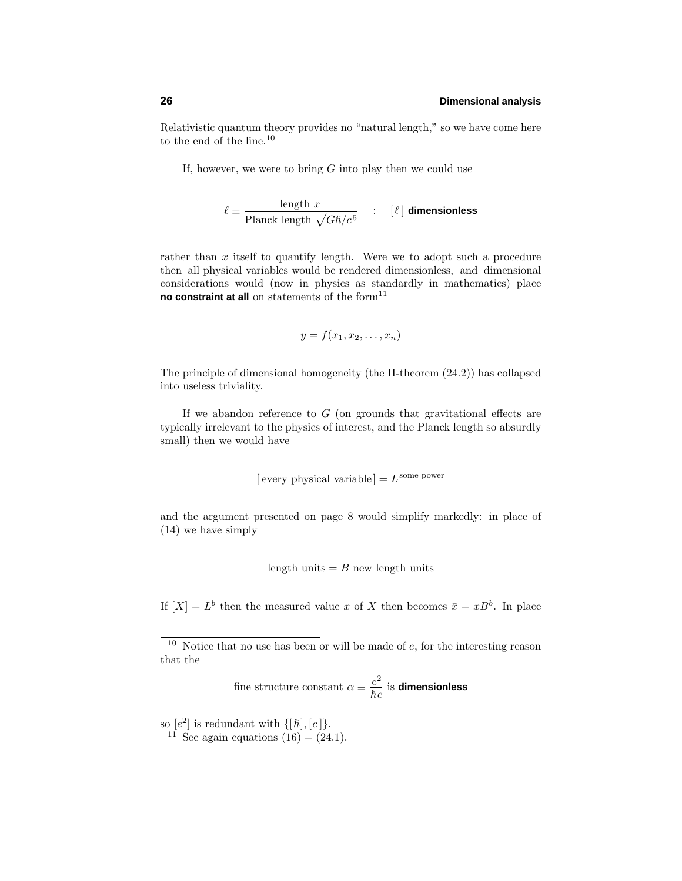Relativistic quantum theory provides no "natural length," so we have come here to the end of the line.<sup>10</sup>

If, however, we were to bring *G* into play then we could use

$$
\ell \equiv \frac{\text{length } x}{\text{Planck length } \sqrt{G\hbar/c^5}} \quad : \quad [\ell] \text{ dimensionless}
$$

rather than *x* itself to quantify length. Were we to adopt such a procedure then all physical variables would be rendered dimensionless, and dimensional considerations would (now in physics as standardly in mathematics) place **no constraint at all** on statements of the form<sup>11</sup>

$$
y = f(x_1, x_2, \ldots, x_n)
$$

The principle of dimensional homogeneity (the Π-theorem (24.2)) has collapsed into useless triviality.

If we abandon reference to *G* (on grounds that gravitational effects are typically irrelevant to the physics of interest, and the Planck length so absurdly small) then we would have

 $[$  every physical variable $] = L^{\text{some power}}$ 

and the argument presented on page 8 would simplify markedly: in place of (14) we have simply

length units  $=$  *B* new length units

If  $[X] = L^b$  then the measured value *x* of *X* then becomes  $\bar{x} = xB^b$ . In place

fine structure constant 
$$
\alpha \equiv \frac{e^2}{\hbar c}
$$
 is **dimensionless**

so  $[e^2]$  is redundant with  $\{[\hbar], [c]\}.$ 

<sup>11</sup> See again equations  $(16) = (24.1)$ .

<sup>&</sup>lt;sup>10</sup> Notice that no use has been or will be made of *e*, for the interesting reason that the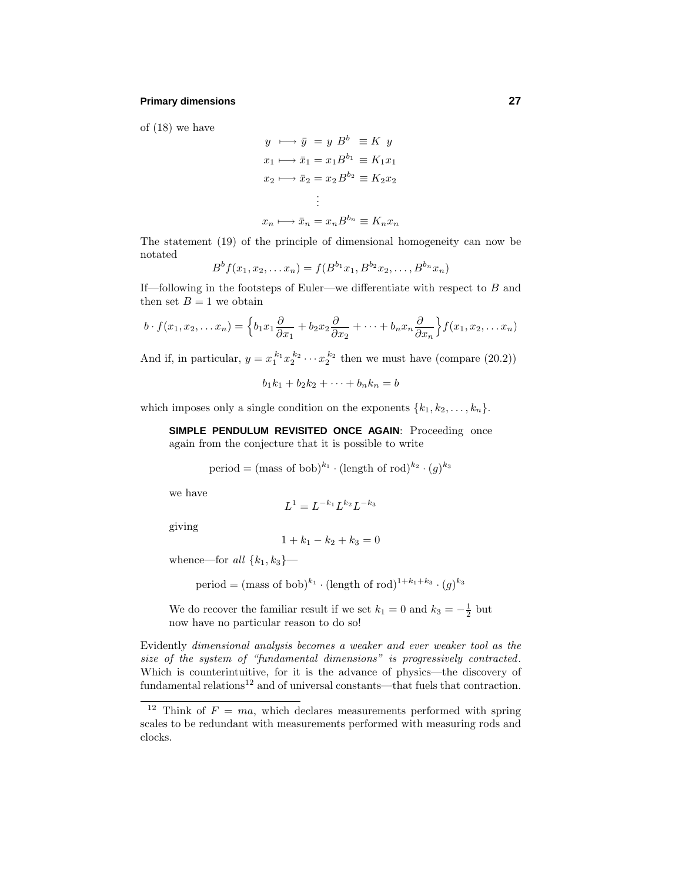#### **Primary dimensions 27**

of (18) we have

$$
y \longmapsto \bar{y} = y B^b \equiv K y
$$

$$
x_1 \longmapsto \bar{x}_1 = x_1 B^{b_1} \equiv K_1 x_1
$$

$$
x_2 \longmapsto \bar{x}_2 = x_2 B^{b_2} \equiv K_2 x_2
$$

$$
\vdots
$$

$$
x_n \longmapsto \bar{x}_n = x_n B^{b_n} \equiv K_n x_n
$$

The statement (19) of the principle of dimensional homogeneity can now be notated

$$
B^{b}f(x_{1}, x_{2}, \ldots x_{n}) = f(B^{b_{1}}x_{1}, B^{b_{2}}x_{2}, \ldots, B^{b_{n}}x_{n})
$$

If—following in the footsteps of Euler—we differentiate with respect to *B* and then set  $B = 1$  we obtain

$$
b \cdot f(x_1, x_2, \dots x_n) = \left\{ b_1 x_1 \frac{\partial}{\partial x_1} + b_2 x_2 \frac{\partial}{\partial x_2} + \dots + b_n x_n \frac{\partial}{\partial x_n} \right\} f(x_1, x_2, \dots x_n)
$$

And if, in particular,  $y = x_1^{k_1} x_2^{k_2} \cdots x_2^{k_2}$  then we must have (compare (20.2))

 $b_1k_1 + b_2k_2 + \cdots + b_nk_n = b$ 

which imposes only a single condition on the exponents  $\{k_1, k_2, \ldots, k_n\}$ .

**SIMPLE PENDULUM REVISITED ONCE AGAIN:** Proceeding once again from the conjecture that it is possible to write

period = (mass of bob)<sup>k<sub>1</sub></sup> · (length of rod)<sup>k<sub>2</sub></sup> · 
$$
(g)
$$
<sup>k<sub>3</sub></sup>

we have

$$
L^1 = L^{-k_1} L^{k_2} L^{-k_3}
$$

giving

$$
1 + k_1 - k_2 + k_3 = 0
$$

whence—for all  $\{k_1, k_3\}$ —

period =  $(\text{mass of bob})^{k_1} \cdot (\text{length of rod})^{1+k_1+k_3} \cdot (g)^{k_3}$ 

We do recover the familiar result if we set  $k_1 = 0$  and  $k_3 = -\frac{1}{2}$  but now have no particular reason to do so!

Evidently dimensional analysis becomes a weaker and ever weaker tool as the size of the system of "fundamental dimensions" is progressively contracted. Which is counterintuitive, for it is the advance of physics—the discovery of fundamental relations<sup>12</sup> and of universal constants—that fuels that contraction.

<sup>&</sup>lt;sup>12</sup> Think of  $F = ma$ , which declares measurements performed with spring scales to be redundant with measurements performed with measuring rods and clocks.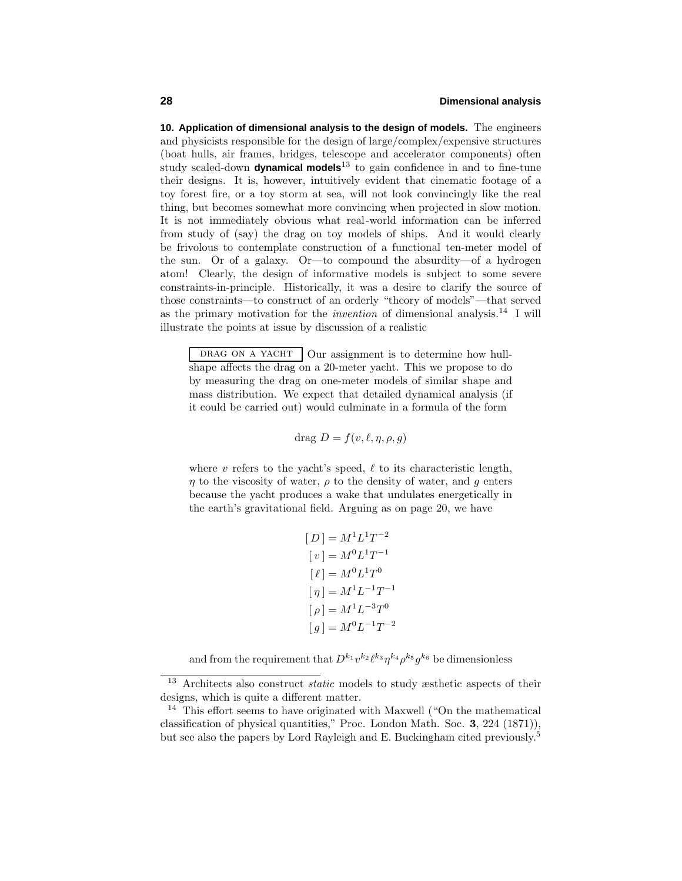**10. Application of dimensional analysis to the design of models.** The engineers and physicists responsible for the design of large/complex/expensive structures (boat hulls, air frames, bridges, telescope and accelerator components) often study scaled-down **dynamical models**<sup>13</sup> to gain confidence in and to fine-tune their designs. It is, however, intuitively evident that cinematic footage of a toy forest fire, or a toy storm at sea, will not look convincingly like the real thing, but becomes somewhat more convincing when projected in slow motion. It is not immediately obvious what real-world information can be inferred from study of (say) the drag on toy models of ships. And it would clearly be frivolous to contemplate construction of a functional ten-meter model of the sun. Or of a galaxy. Or—to compound the absurdity—of a hydrogen atom! Clearly, the design of informative models is subject to some severe constraints-in-principle. Historically, it was a desire to clarify the source of those constraints—to construct of an orderly "theory of models"—that served as the primary motivation for the *invention* of dimensional analysis.<sup>14</sup> I will illustrate the points at issue by discussion of a realistic

$$
drag D = f(v, \ell, \eta, \rho, g)
$$

where  $v$  refers to the yacht's speed,  $\ell$  to its characteristic length, *η* to the viscosity of water, *ρ* to the density of water, and *g* enters because the yacht produces a wake that undulates energetically in the earth's gravitational field. Arguing as on page 20, we have

$$
[D] = M^{1}L^{1}T^{-2}
$$

$$
[v] = M^{0}L^{1}T^{-1}
$$

$$
[\ell] = M^{0}L^{1}T^{0}
$$

$$
[\eta] = M^{1}L^{-1}T^{-1}
$$

$$
[\rho] = M^{1}L^{-3}T^{0}
$$

$$
[g] = M^{0}L^{-1}T^{-2}
$$

and from the requirement that  $D^{k_1}v^{k_2}\ell^{k_3}\eta^{k_4}\rho^{k_5}q^{k_6}$  be dimensionless

DRAG ON A YACHT Our assignment is to determine how hullshape affects the drag on a 20-meter yacht. This we propose to do by measuring the drag on one-meter models of similar shape and mass distribution. We expect that detailed dynamical analysis (if it could be carried out) would culminate in a formula of the form

 $13$  Architects also construct *static* models to study æsthetic aspects of their designs, which is quite a different matter.

<sup>14</sup> This effort seems to have originated with Maxwell ("On the mathematical classification of physical quantities," Proc. London Math. Soc. **3**, 224 (1871)), but see also the papers by Lord Rayleigh and E. Buckingham cited previously.<sup>5</sup>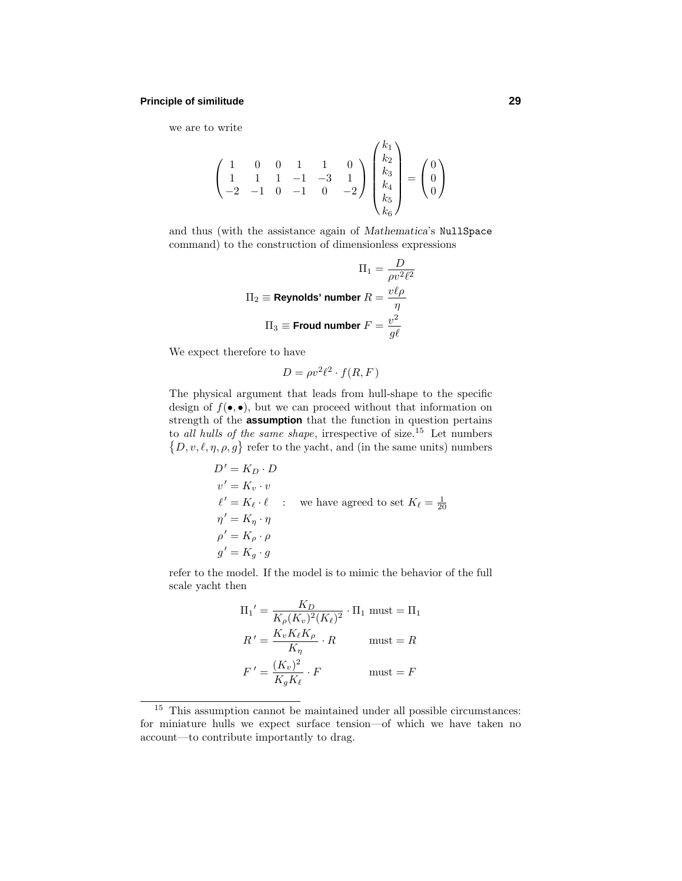# **Principle of similitude 29**

we are to write

$$
\begin{pmatrix}\n1 & 0 & 0 & 1 & 1 & 0 \\
1 & 1 & 1 & -1 & -3 & 1 \\
-2 & -1 & 0 & -1 & 0 & -2\n\end{pmatrix}\n\begin{pmatrix}\nk_1 \\
k_2 \\
k_3 \\
k_4 \\
k_5 \\
k_6\n\end{pmatrix} = \begin{pmatrix}\n0 \\
0 \\
0 \\
0\n\end{pmatrix}
$$

and thus (with the assistance again of *Mathematica*'s NullSpace command) to the construction of dimensionless expressions

$$
\Pi_1 = \frac{D}{\rho v^2 \ell^2}
$$

$$
\Pi_2 \equiv \text{Reynolds' number } R = \frac{v\ell \rho}{\eta}
$$

$$
\Pi_3 \equiv \text{Froud number } F = \frac{v^2}{g\ell}
$$

We expect therefore to have

$$
D = \rho v^2 \ell^2 \cdot f(R, F)
$$

The physical argument that leads from hull-shape to the specific design of  $f(\bullet, \bullet)$ , but we can proceed without that information on strength of the **assumption** that the function in question pertains to all hulls of the same shape, irrespective of size.<sup>15</sup> Let numbers  $\{D, v, \ell, \eta, \rho, g\}$  refer to the yacht, and (in the same units) numbers

$$
D' = K_D \cdot D
$$
  
\n
$$
v' = K_v \cdot v
$$
  
\n
$$
\ell' = K_{\ell} \cdot \ell \quad : \quad \text{we have agreed to set } K_{\ell} = \frac{1}{20}
$$
  
\n
$$
\eta' = K_{\eta} \cdot \eta
$$
  
\n
$$
\rho' = K_{\rho} \cdot \rho
$$
  
\n
$$
g' = K_g \cdot g
$$

refer to the model. If the model is to mimic the behavior of the full scale yacht then

$$
\Pi_1' = \frac{K_D}{K_\rho (K_v)^2 (K_\ell)^2} \cdot \Pi_1 \text{ must } = \Pi_1
$$
  

$$
R' = \frac{K_v K_\ell K_\rho}{K_\eta} \cdot R \qquad \text{must } = R
$$
  

$$
F' = \frac{(K_v)^2}{K_g K_\ell} \cdot F \qquad \text{must } = F
$$

<sup>&</sup>lt;sup>15</sup> This assumption cannot be maintained under all possible circumstances: for miniature hulls we expect surface tension—of which we have taken no account—to contribute importantly to drag.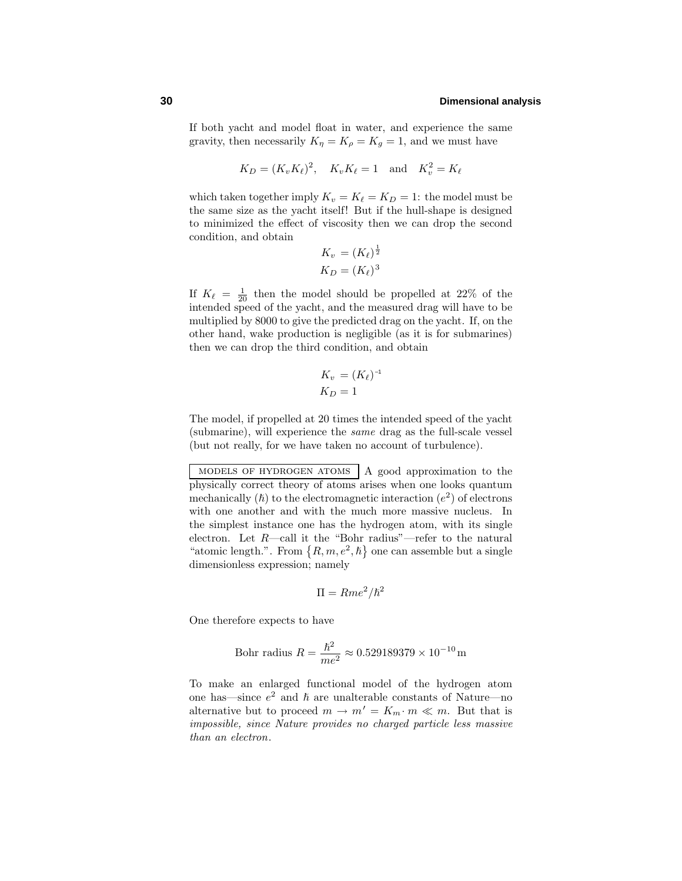If both yacht and model float in water, and experience the same gravity, then necessarily  $K_{\eta} = K_{\rho} = K_{g} = 1$ , and we must have

$$
K_D = (K_v K_\ell)^2, \quad K_v K_\ell = 1 \quad \text{and} \quad K_v^2 = K_\ell
$$

which taken together imply  $K_v = K_\ell = K_D = 1$ : the model must be the same size as the yacht itself! But if the hull-shape is designed to minimized the effect of viscosity then we can drop the second condition, and obtain

$$
K_v = (K_\ell)^{\frac{1}{2}}
$$
  

$$
K_D = (K_\ell)^3
$$

If  $K_{\ell} = \frac{1}{20}$  then the model should be propelled at 22\% of the intended speed of the yacht, and the measured drag will have to be multiplied by 8000 to give the predicted drag on the yacht. If, on the other hand, wake production is negligible (as it is for submarines) then we can drop the third condition, and obtain

$$
K_v = (K_\ell)^{-1}
$$
  

$$
K_D = 1
$$

The model, if propelled at 20 times the intended speed of the yacht (submarine), will experience the same drag as the full-scale vessel (but not really, for we have taken no account of turbulence).

$$
\Pi = Rme^2/\hbar^2
$$

One therefore expects to have

Bohr radius 
$$
R = \frac{\hbar^2}{me^2} \approx 0.529189379 \times 10^{-10} \,\mathrm{m}
$$

To make an enlarged functional model of the hydrogen atom one has—since  $e^2$  and  $\hbar$  are unalterable constants of Nature—no alternative but to proceed  $m \to m' = K_m \cdot m \ll m$ . But that is impossible, since Nature provides no charged particle less massive than an electron.

models of hydrogen atoms A good approximation to the physically correct theory of atoms arises when one looks quantum mechanically  $(h)$  to the electromagnetic interaction  $(e^2)$  of electrons with one another and with the much more massive nucleus. In the simplest instance one has the hydrogen atom, with its single electron. Let *R*—call it the "Bohr radius"—refer to the natural "atomic length.". From  $\{R, m, e^2, \hbar\}$  one can assemble but a single dimensionless expression; namely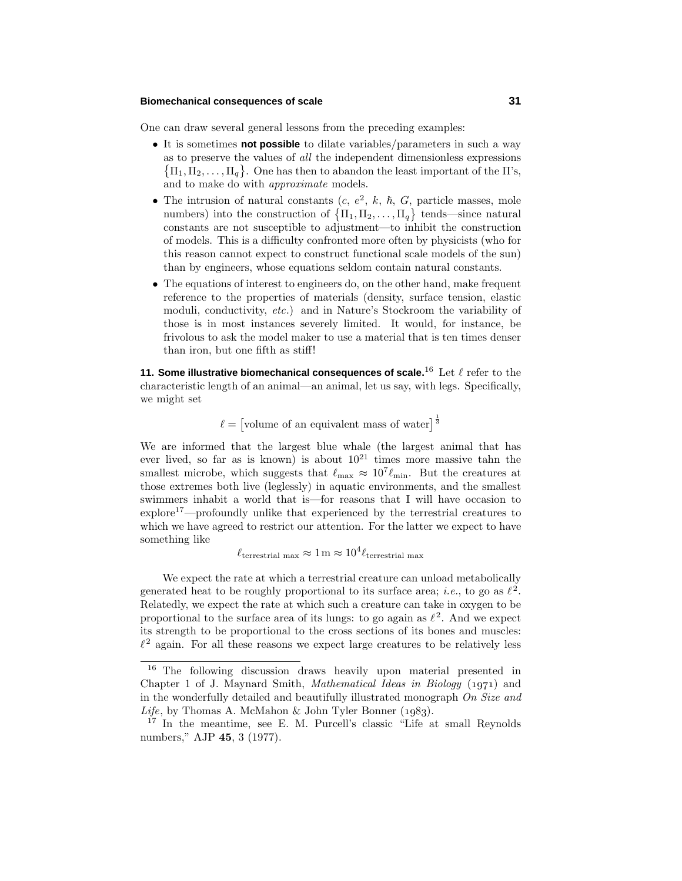# **Biomechanical consequences of scale 31**

One can draw several general lessons from the preceding examples:

- It is sometimes **not possible** to dilate variables/parameters in such a way as to preserve the values of all the independent dimensionless expressions  $\{\Pi_1, \Pi_2, \ldots, \Pi_q\}$ . One has then to abandon the least important of the  $\Pi$ 's, and to make do with approximate models.
- The intrusion of natural constants  $(c, e^2, k, \hbar, G,$  particle masses, mole numbers) into the construction of  $\{\Pi_1, \Pi_2, \ldots, \Pi_q\}$  tends—since natural constants are not susceptible to adjustment—to inhibit the construction of models. This is a difficulty confronted more often by physicists (who for this reason cannot expect to construct functional scale models of the sun) than by engineers, whose equations seldom contain natural constants.
- The equations of interest to engineers do, on the other hand, make frequent reference to the properties of materials (density, surface tension, elastic moduli, conductivity, etc.) and in Nature's Stockroom the variability of those is in most instances severely limited. It would, for instance, be frivolous to ask the model maker to use a material that is ten times denser than iron, but one fifth as stiff!

**11. Some illustrative biomechanical consequences of scale.<sup>16</sup> Let**  $\ell$  **refer to the** characteristic length of an animal—an animal, let us say, with legs. Specifically, we might set

$$
\ell = \text{[volume of an equivalent mass of water]}^{\frac{1}{3}}
$$

We are informed that the largest blue whale (the largest animal that has ever lived, so far as is known) is about  $10^{21}$  times more massive tahn the smallest microbe, which suggests that  $\ell_{\text{max}} \approx 10^7 \ell_{\text{min}}$ . But the creatures at those extremes both live (leglessly) in aquatic environments, and the smallest swimmers inhabit a world that is—for reasons that I will have occasion to explore<sup>17</sup>—profoundly unlike that experienced by the terrestrial creatures to which we have agreed to restrict our attention. For the latter we expect to have something like

 $\ell_{\text{terrestrial max}} \approx 1 \,\text{m} \approx 10^4 \ell_{\text{terrestrial max}}$ 

We expect the rate at which a terrestrial creature can unload metabolically generated heat to be roughly proportional to its surface area; *i.e.*, to go as  $\ell^2$ . Relatedly, we expect the rate at which such a creature can take in oxygen to be proportional to the surface area of its lungs: to go again as  $\ell^2$ . And we expect its strength to be proportional to the cross sections of its bones and muscles:  $\ell^2$  again. For all these reasons we expect large creatures to be relatively less

<sup>&</sup>lt;sup>16</sup> The following discussion draws heavily upon material presented in Chapter 1 of J. Maynard Smith, *Mathematical Ideas in Biology*  $(1971)$  and in the wonderfully detailed and beautifully illustrated monograph On Size and Life, by Thomas A. McMahon & John Tyler Bonner  $(1983)$ .

<sup>&</sup>lt;sup>17</sup> In the meantime, see E. M. Purcell's classic "Life at small Reynolds" numbers," AJP **45**, 3 (1977).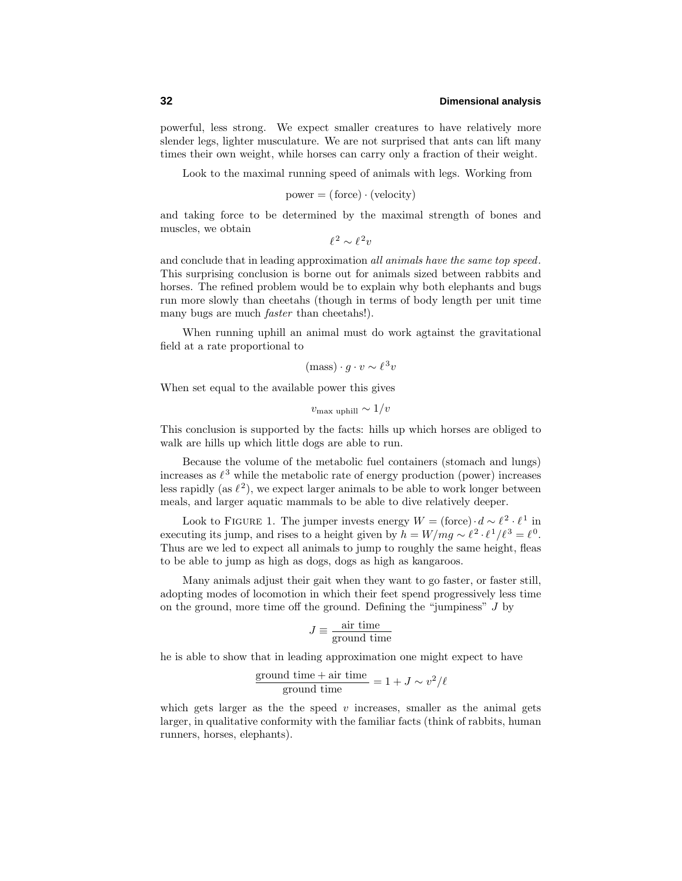powerful, less strong. We expect smaller creatures to have relatively more slender legs, lighter musculature. We are not surprised that ants can lift many times their own weight, while horses can carry only a fraction of their weight.

Look to the maximal running speed of animals with legs. Working from

$$
power = (force) \cdot (velocity)
$$

and taking force to be determined by the maximal strength of bones and muscles, we obtain

 $\ell^2$  ∼  $\ell^2$ *v* 

and conclude that in leading approximation all animals have the same top speed. This surprising conclusion is borne out for animals sized between rabbits and horses. The refined problem would be to explain why both elephants and bugs run more slowly than cheetahs (though in terms of body length per unit time many bugs are much *faster* than cheetahs!).

When running uphill an animal must do work agtainst the gravitational field at a rate proportional to

$$
(\text{mass}) \cdot g \cdot v \sim \ell^3 v
$$

When set equal to the available power this gives

$$
v_{\text{max uphill}} \sim 1/v
$$

This conclusion is supported by the facts: hills up which horses are obliged to walk are hills up which little dogs are able to run.

Because the volume of the metabolic fuel containers (stomach and lungs) increases as  $\ell^3$  while the metabolic rate of energy production (power) increases less rapidly (as  $\ell^2$ ), we expect larger animals to be able to work longer between meals, and larger aquatic mammals to be able to dive relatively deeper.

Look to FIGURE 1. The jumper invests energy  $W = (\text{force}) \cdot d \sim \ell^2 \cdot \ell^1$  in executing its jump, and rises to a height given by  $h = W/mq \sim \ell^2 \cdot \ell^2 / \ell^3 = \ell^0$ . Thus are we led to expect all animals to jump to roughly the same height, fleas to be able to jump as high as dogs, dogs as high as kangaroos.

Many animals adjust their gait when they want to go faster, or faster still, adopting modes of locomotion in which their feet spend progressively less time on the ground, more time off the ground. Defining the "jumpiness" *J* by

$$
J \equiv \frac{\text{air time}}{\text{ground time}}
$$

he is able to show that in leading approximation one might expect to have

$$
\frac{\text{ground time} + \text{air time}}{\text{ground time}} = 1 + J \sim v^2/\ell
$$

which gets larger as the the speed  $v$  increases, smaller as the animal gets larger, in qualitative conformity with the familiar facts (think of rabbits, human runners, horses, elephants).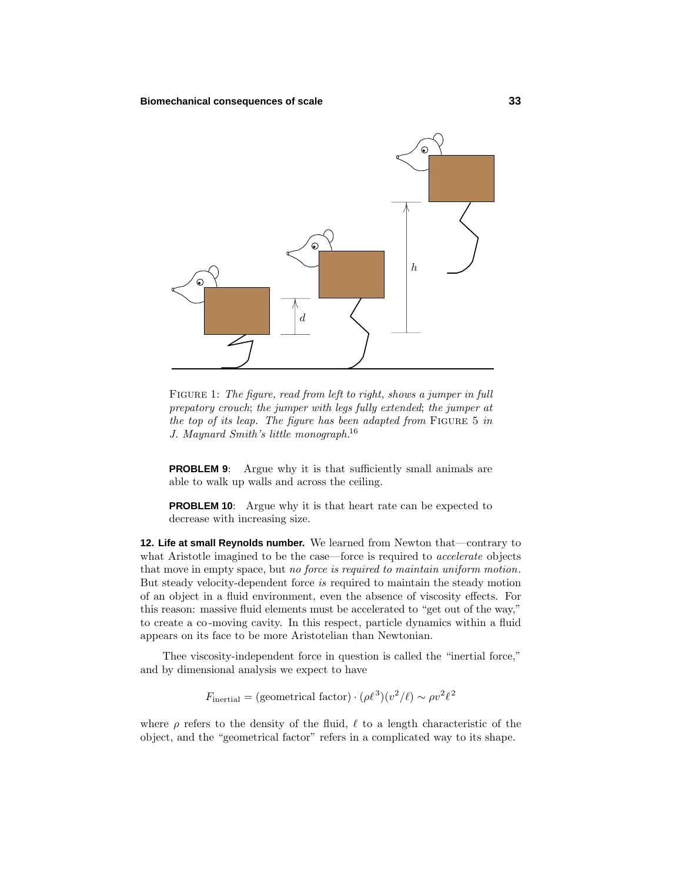

FIGURE 1: The figure, read from left to right, shows a jumper in full prepatory crouch; the jumper with legs fully extended; the jumper at the top of its leap. The figure has been adapted from  $FIGURE 5$  in J. Maynard Smith's little monograph.<sup>16</sup>

**PROBLEM 9:** Argue why it is that sufficiently small animals are able to walk up walls and across the ceiling.

**PROBLEM 10**: Argue why it is that heart rate can be expected to decrease with increasing size.

**12. Life at small Reynolds number.** We learned from Newton that—contrary to what Aristotle imagined to be the case—force is required to *accelerate* objects that move in empty space, but no force is required to maintain uniform motion. But steady velocity-dependent force is required to maintain the steady motion of an object in a fluid environment, even the absence of viscosity effects. For this reason: massive fluid elements must be accelerated to "get out of the way," to create a co-moving cavity. In this respect, particle dynamics within a fluid appears on its face to be more Aristotelian than Newtonian.

Thee viscosity-independent force in question is called the "inertial force," and by dimensional analysis we expect to have

 $F_{\rm inertial} = ({\rm geometrical~factor}) \cdot (\rho \ell^3) (v^2/\ell) \sim \rho v^2 \ell^2$ 

where  $\rho$  refers to the density of the fluid,  $\ell$  to a length characteristic of the object, and the "geometrical factor" refers in a complicated way to its shape.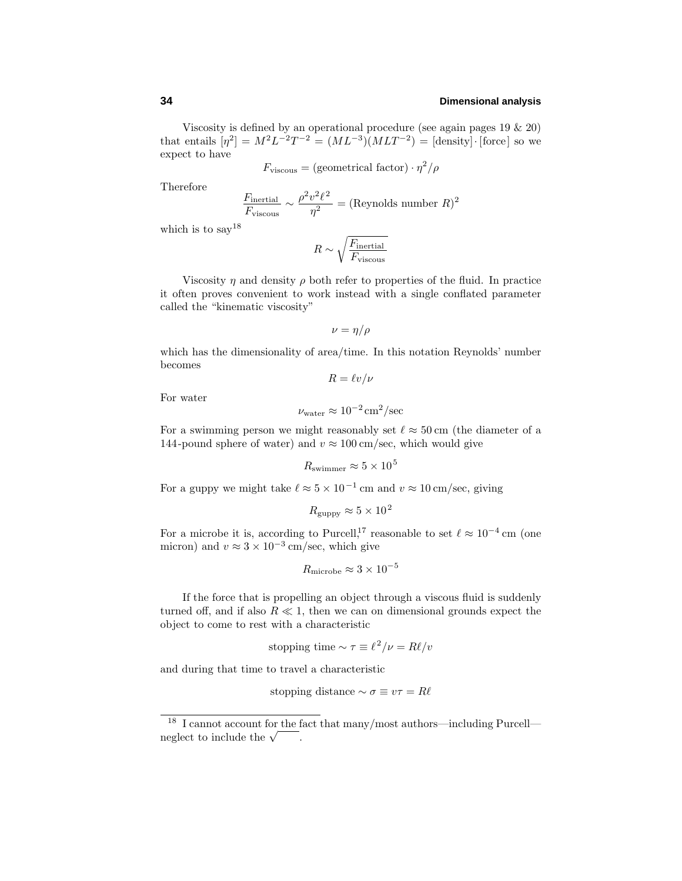Viscosity is defined by an operational procedure (see again pages  $19 \& 20$ ) that entails  $[\eta^2] = M^2 L^{-2} T^{-2} = (ML^{-3})(MLT^{-2}) = [\text{density}]\cdot[\text{force}]$  so we expect to have

$$
F_{\rm viscous} = (\text{geometrical factor}) \cdot \eta^2 / \rho
$$

Therefore

$$
\frac{F_{\text{inertial}}}{F_{\text{viscous}}} \sim \frac{\rho^2 v^2 \ell^2}{\eta^2} = (\text{Reynolds number } R)^2
$$

which is to say<sup>18</sup>

$$
R \sim \sqrt{\frac{F_{\rm inertial}}{F_{\rm viscous}}}
$$

Viscosity  $\eta$  and density  $\rho$  both refer to properties of the fluid. In practice it often proves convenient to work instead with a single conflated parameter called the "kinematic viscosity"

$$
\nu = \eta/\rho
$$

which has the dimensionality of area/time. In this notation Reynolds' number becomes

 $R = \ell v / \nu$ 

For water

$$
\nu_{\text{water}} \approx 10^{-2} \,\text{cm}^2/\text{sec}
$$

For a swimming person we might reasonably set  $\ell \approx 50 \text{ cm}$  (the diameter of a 144-pound sphere of water) and  $v \approx 100 \text{ cm/sec}$ , which would give

 $R_{\text{swimmer}} \approx 5 \times 10^5$ 

For a guppy we might take  $\ell \approx 5 \times 10^{-1}$  cm and  $v \approx 10$  cm/sec, giving

$$
R_{\text{guppy}} \approx 5 \times 10^2
$$

For a microbe it is, according to Purcell,<sup>17</sup> reasonable to set  $\ell \approx 10^{-4}\,\mathrm{cm}$  (one micron) and  $v \approx 3 \times 10^{-3}$  cm/sec, which give

$$
R_{\text{microbe}} \approx 3 \times 10^{-5}
$$

If the force that is propelling an object through a viscous fluid is suddenly turned off, and if also  $R \ll 1$ , then we can on dimensional grounds expect the object to come to rest with a characteristic

stopping time 
$$
\sim \tau \equiv \ell^2/\nu = R\ell/v
$$

and during that time to travel a characteristic

stopping distance 
$$
\sim \sigma \equiv v\tau = R\ell
$$

<sup>18</sup> I cannot account for the fact that many/most authors—including Purcell neglect to include the  $\sqrt{\ }$ .